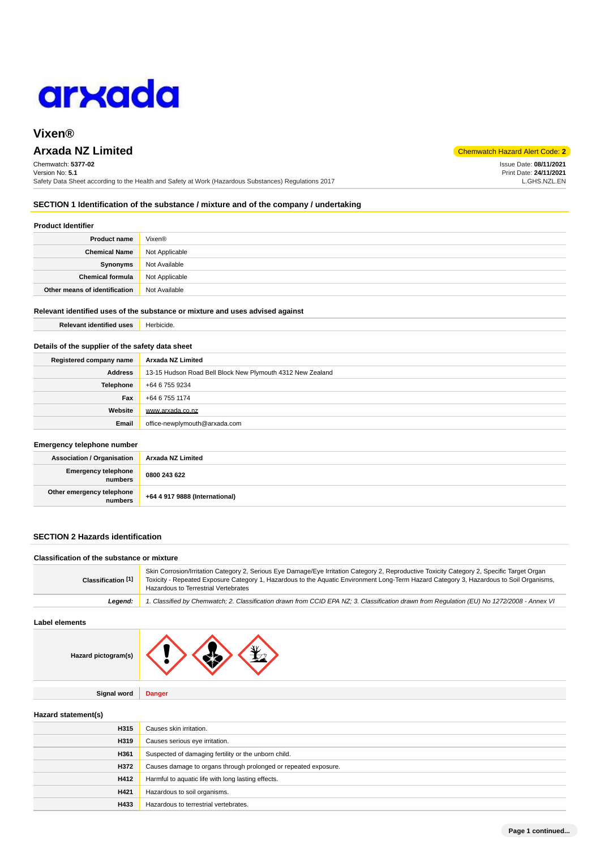

# **Vixen®**

# **Arxada NZ Limited** Chemwatch Hazard Alert Code: **2**

Chemwatch: **5377-02** Version No: **5.1** Safety Data Sheet according to the Health and Safety at Work (Hazardous Substances) Regulations 2017

Issue Date: **08/11/2021** Print Date: **24/11/2021** L.GHS.NZL.EN

## **SECTION 1 Identification of the substance / mixture and of the company / undertaking**

## **Product Identifier**

| <b>Product name</b>           | Vixen®         |
|-------------------------------|----------------|
| <b>Chemical Name</b>          | Not Applicable |
| Synonyms                      | Not Available  |
| <b>Chemical formula</b>       | Not Applicable |
| Other means of identification | Not Available  |

### **Relevant identified uses of the substance or mixture and uses advised against**

| <b>Relevant identified uses</b> | Herbicide. |
|---------------------------------|------------|
|                                 |            |

## **Details of the supplier of the safety data sheet**

| Registered company name | Arxada NZ Limited                                          |  |
|-------------------------|------------------------------------------------------------|--|
| Address                 | 13-15 Hudson Road Bell Block New Plymouth 4312 New Zealand |  |
| <b>Telephone</b>        | +64 6 755 9234                                             |  |
| Fax                     | +64 6 755 1174                                             |  |
| Website                 | www.arxada.co.nz                                           |  |
| Email                   | office-newplymouth@arxada.com                              |  |

### **Emergency telephone number**

| <b>Association / Organisation</b>    | Arxada NZ Limited              |
|--------------------------------------|--------------------------------|
| Emergency telephone<br>numbers       | 0800 243 622                   |
| Other emergency telephone<br>numbers | +64 4 917 9888 (International) |

## **SECTION 2 Hazards identification**

## **Classification of the substance or mixture**

| Classification [1] | Skin Corrosion/Irritation Category 2, Serious Eye Damage/Eye Irritation Category 2, Reproductive Toxicity Category 2, Specific Target Organ<br>Toxicity - Repeated Exposure Category 1, Hazardous to the Aquatic Environment Long-Term Hazard Category 3, Hazardous to Soil Organisms,<br>Hazardous to Terrestrial Vertebrates |
|--------------------|--------------------------------------------------------------------------------------------------------------------------------------------------------------------------------------------------------------------------------------------------------------------------------------------------------------------------------|
| Leaend:            | 1. Classified by Chemwatch; 2. Classification drawn from CCID EPA NZ; 3. Classification drawn from Requlation (EU) No 1272/2008 - Annex VI                                                                                                                                                                                     |

## **Label elements**

| Hazard pictogram(s) |  |
|---------------------|--|
|                     |  |

**Signal word Danger**

### **Hazard statement(s)**

| H315 | Causes skin irritation.                                         |
|------|-----------------------------------------------------------------|
| H319 | Causes serious eye irritation.                                  |
| H361 | Suspected of damaging fertility or the unborn child.            |
| H372 | Causes damage to organs through prolonged or repeated exposure. |
| H412 | Harmful to aquatic life with long lasting effects.              |
| H421 | Hazardous to soil organisms.                                    |
| H433 | Hazardous to terrestrial vertebrates.                           |
|      |                                                                 |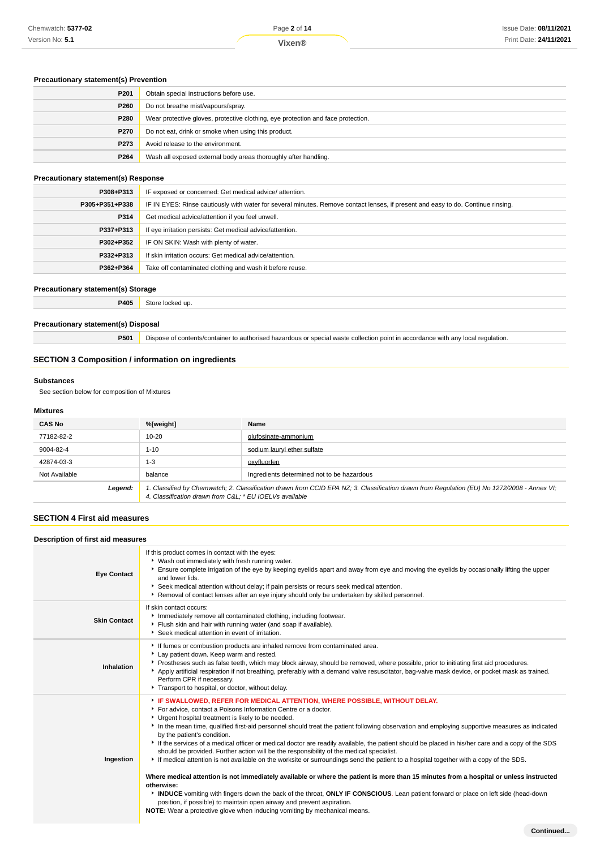## **Precautionary statement(s) Prevention**

| P201        | Obtain special instructions before use.                                          |
|-------------|----------------------------------------------------------------------------------|
| P260        | Do not breathe mist/vapours/spray.                                               |
| P280        | Wear protective gloves, protective clothing, eye protection and face protection. |
| <b>P270</b> | Do not eat, drink or smoke when using this product.                              |
| P273        | Avoid release to the environment.                                                |
| P264        | Wash all exposed external body areas thoroughly after handling.                  |

## **Precautionary statement(s) Response**

| P308+P313      | IF exposed or concerned: Get medical advice/attention.                                                                           |
|----------------|----------------------------------------------------------------------------------------------------------------------------------|
| P305+P351+P338 | IF IN EYES: Rinse cautiously with water for several minutes. Remove contact lenses, if present and easy to do. Continue rinsing. |
| P314           | Get medical advice/attention if you feel unwell.                                                                                 |
| P337+P313      | If eye irritation persists: Get medical advice/attention.                                                                        |
| P302+P352      | IF ON SKIN: Wash with plenty of water.                                                                                           |
| P332+P313      | If skin irritation occurs: Get medical advice/attention.                                                                         |
| P362+P364      | Take off contaminated clothing and wash it before reuse.                                                                         |
|                |                                                                                                                                  |

## **Precautionary statement(s) Storage**

**P405** Store locked up.

## **Precautionary statement(s) Disposal**

**P501** Dispose of contents/container to authorised hazardous or special waste collection point in accordance with any local regulation.

## **SECTION 3 Composition / information on ingredients**

### **Substances**

See section below for composition of Mixtures

## **Mixtures**

| <b>CAS No</b> | %[weight]                                               | Name                                                                                                                                        |
|---------------|---------------------------------------------------------|---------------------------------------------------------------------------------------------------------------------------------------------|
| 77182-82-2    | $10 - 20$                                               | glufosinate-ammonium                                                                                                                        |
| 9004-82-4     | $1 - 10$                                                | sodium lauryl ether sulfate                                                                                                                 |
| 42874-03-3    | $1 - 3$                                                 | oxyfluorfen                                                                                                                                 |
| Not Available | balance                                                 | Ingredients determined not to be hazardous                                                                                                  |
| Legend:       | 4. Classification drawn from C&L * EU IOEL Vs available | 1. Classified by Chemwatch; 2. Classification drawn from CCID EPA NZ; 3. Classification drawn from Regulation (EU) No 1272/2008 - Annex VI; |

## **SECTION 4 First aid measures**

| Description of first aid measures |                                                                                                                                                                                                                                                                                                                                                                                                                                                                                                                                                                                                                                                                                                                                                                                                                                                                                                                                                                                                                                                                                                                                                                                                                                       |  |  |
|-----------------------------------|---------------------------------------------------------------------------------------------------------------------------------------------------------------------------------------------------------------------------------------------------------------------------------------------------------------------------------------------------------------------------------------------------------------------------------------------------------------------------------------------------------------------------------------------------------------------------------------------------------------------------------------------------------------------------------------------------------------------------------------------------------------------------------------------------------------------------------------------------------------------------------------------------------------------------------------------------------------------------------------------------------------------------------------------------------------------------------------------------------------------------------------------------------------------------------------------------------------------------------------|--|--|
| <b>Eye Contact</b>                | If this product comes in contact with the eyes:<br>• Wash out immediately with fresh running water.<br>Ensure complete irrigation of the eye by keeping eyelids apart and away from eye and moving the eyelids by occasionally lifting the upper<br>and lower lids.<br>Seek medical attention without delay; if pain persists or recurs seek medical attention.<br>▶ Removal of contact lenses after an eye injury should only be undertaken by skilled personnel.                                                                                                                                                                                                                                                                                                                                                                                                                                                                                                                                                                                                                                                                                                                                                                    |  |  |
| <b>Skin Contact</b>               | If skin contact occurs:<br>Inmediately remove all contaminated clothing, including footwear.<br>Flush skin and hair with running water (and soap if available).<br>Seek medical attention in event of irritation.                                                                                                                                                                                                                                                                                                                                                                                                                                                                                                                                                                                                                                                                                                                                                                                                                                                                                                                                                                                                                     |  |  |
| Inhalation                        | If fumes or combustion products are inhaled remove from contaminated area.<br>Lay patient down. Keep warm and rested.<br>Prostheses such as false teeth, which may block airway, should be removed, where possible, prior to initiating first aid procedures.<br>Apply artificial respiration if not breathing, preferably with a demand valve resuscitator, bag-valve mask device, or pocket mask as trained.<br>Perform CPR if necessary.<br>Transport to hospital, or doctor, without delay.                                                                                                                                                                                                                                                                                                                                                                                                                                                                                                                                                                                                                                                                                                                                       |  |  |
| Ingestion                         | FIF SWALLOWED, REFER FOR MEDICAL ATTENTION, WHERE POSSIBLE, WITHOUT DELAY.<br>For advice, contact a Poisons Information Centre or a doctor.<br>Urgent hospital treatment is likely to be needed.<br>In the mean time, qualified first-aid personnel should treat the patient following observation and employing supportive measures as indicated<br>by the patient's condition.<br>If the services of a medical officer or medical doctor are readily available, the patient should be placed in his/her care and a copy of the SDS<br>should be provided. Further action will be the responsibility of the medical specialist.<br>If medical attention is not available on the worksite or surroundings send the patient to a hospital together with a copy of the SDS.<br>Where medical attention is not immediately available or where the patient is more than 15 minutes from a hospital or unless instructed<br>otherwise:<br>INDUCE vomiting with fingers down the back of the throat, ONLY IF CONSCIOUS. Lean patient forward or place on left side (head-down<br>position, if possible) to maintain open airway and prevent aspiration.<br><b>NOTE:</b> Wear a protective glove when inducing vomiting by mechanical means. |  |  |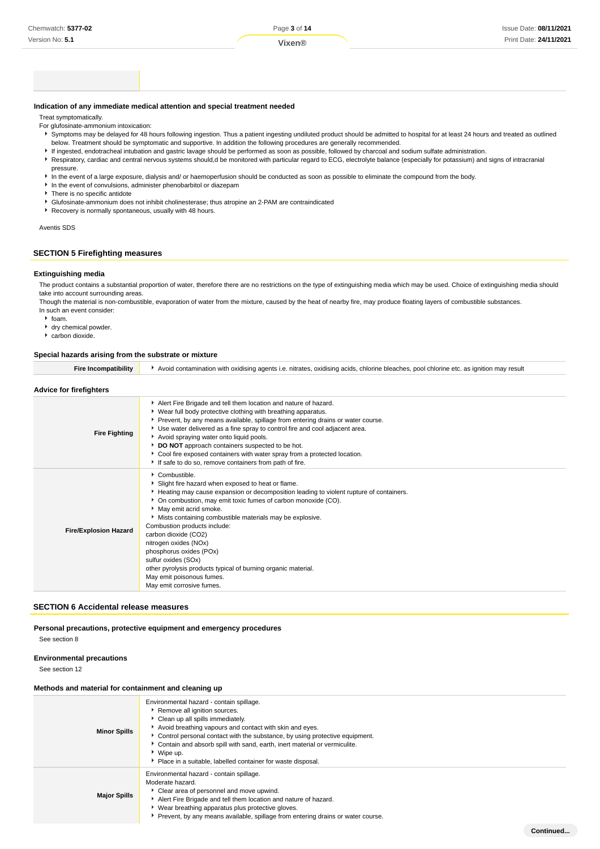**Continued...**

### **Indication of any immediate medical attention and special treatment needed**

Treat symptomatically.

- For glufosinate-ammonium intoxication:
- Symptoms may be delayed for 48 hours following ingestion. Thus a patient ingesting undiluted product should be admitted to hospital for at least 24 hours and treated as outlined below. Treatment should be symptomatic and supportive. In addition the following procedures are generally recommended.
- If ingested, endotracheal intubation and gastric lavage should be performed as soon as possible, followed by charcoal and sodium sulfate administration.
- Respiratory, cardiac and central nervous systems should,d be monitored with particular regard to ECG, electrolyte balance (especially for potassium) and signs of intracranial pressure.
- In the event of a large exposure, dialysis and/ or haemoperfusion should be conducted as soon as possible to eliminate the compound from the body.
- In the event of convulsions, administer phenobarbitol or diazepam
- **F** There is no specific antidote
- Glufosinate-ammonium does not inhibit cholinesterase; thus atropine an 2-PAM are contraindicated
- Recovery is normally spontaneous, usually with 48 hours.

#### Aventis SDS

## **SECTION 5 Firefighting measures**

### **Extinguishing media**

The product contains a substantial proportion of water, therefore there are no restrictions on the type of extinguishing media which may be used. Choice of extinguishing media should take into account surrounding areas

Though the material is non-combustible, evaporation of water from the mixture, caused by the heat of nearby fire, may produce floating layers of combustible substances. In such an event consider:

- $\cdot$  foam.
- dry chemical powder.
- carbon dioxide.

## **Special hazards arising from the substrate or mixture**

| opecial hazards arising from the substrate of mixture |                                                                                                                                                                                                                                                                                                                                                                                                                                                                                                                                             |  |
|-------------------------------------------------------|---------------------------------------------------------------------------------------------------------------------------------------------------------------------------------------------------------------------------------------------------------------------------------------------------------------------------------------------------------------------------------------------------------------------------------------------------------------------------------------------------------------------------------------------|--|
| <b>Fire Incompatibility</b>                           | Avoid contamination with oxidising agents i.e. nitrates, oxidising acids, chlorine bleaches, pool chlorine etc. as ignition may result                                                                                                                                                                                                                                                                                                                                                                                                      |  |
| Advice for firefighters                               |                                                                                                                                                                                                                                                                                                                                                                                                                                                                                                                                             |  |
| <b>Fire Fighting</b>                                  | Alert Fire Brigade and tell them location and nature of hazard.<br>▶ Wear full body protective clothing with breathing apparatus.<br>▶ Prevent, by any means available, spillage from entering drains or water course.<br>► Use water delivered as a fine spray to control fire and cool adjacent area.<br>Avoid spraying water onto liquid pools.<br>DO NOT approach containers suspected to be hot.<br>Cool fire exposed containers with water spray from a protected location.<br>If safe to do so, remove containers from path of fire. |  |
|                                                       | Combustible.<br>Slight fire hazard when exposed to heat or flame.<br>Heating may cause expansion or decomposition leading to violent rupture of containers.<br>On combustion, may emit toxic fumes of carbon monoxide (CO).<br>May emit acrid smoke.<br>• Mists containing combustible materials may be explosive.<br>Cambuation producto include:                                                                                                                                                                                          |  |

| <b>Fire/Explosion Hazard</b> | Combustion products include:                                  |
|------------------------------|---------------------------------------------------------------|
|                              | carbon dioxide (CO2)                                          |
|                              | nitrogen oxides (NOx)                                         |
|                              | phosphorus oxides (POx)                                       |
|                              | sulfur oxides (SOx)                                           |
|                              | other pyrolysis products typical of burning organic material. |
|                              | May emit poisonous fumes.                                     |
|                              | May emit corrosive fumes.                                     |
|                              |                                                               |

#### **SECTION 6 Accidental release measures**

## **Personal precautions, protective equipment and emergency procedures**

See section 8

#### **Environmental precautions**

See section 12

### **Methods and material for containment and cleaning up**

| <b>Minor Spills</b> | Environmental hazard - contain spillage.<br>Remove all ignition sources.<br>Clean up all spills immediately.<br>Avoid breathing vapours and contact with skin and eyes.<br>► Control personal contact with the substance, by using protective equipment.<br>Contain and absorb spill with sand, earth, inert material or vermiculite.<br>▶ Wipe up.<br>• Place in a suitable, labelled container for waste disposal. |
|---------------------|----------------------------------------------------------------------------------------------------------------------------------------------------------------------------------------------------------------------------------------------------------------------------------------------------------------------------------------------------------------------------------------------------------------------|
| <b>Major Spills</b> | Environmental hazard - contain spillage.<br>Moderate hazard.<br>Clear area of personnel and move upwind.<br>Alert Fire Brigade and tell them location and nature of hazard.<br>▶ Wear breathing apparatus plus protective gloves.<br>Prevent, by any means available, spillage from entering drains or water course.                                                                                                 |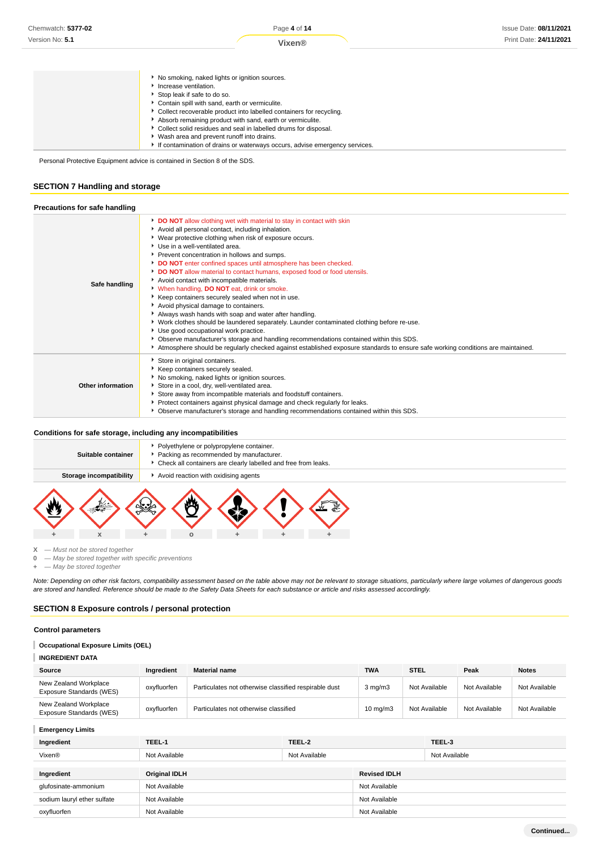| No smoking, naked lights or ignition sources.                              |
|----------------------------------------------------------------------------|
| Increase ventilation.                                                      |
| Stop leak if safe to do so.                                                |
| Contain spill with sand, earth or vermiculite.                             |
| Collect recoverable product into labelled containers for recycling.        |
| Absorb remaining product with sand, earth or vermiculite.                  |
| Collect solid residues and seal in labelled drums for disposal.            |
| ▶ Wash area and prevent runoff into drains.                                |
| If contamination of drains or waterways occurs, advise emergency services. |

Personal Protective Equipment advice is contained in Section 8 of the SDS.

## **SECTION 7 Handling and storage**

| Precautions for safe handling |                                                                                                                                                                                                                                                                                                                                                                                                                                                                                                                                                                                                                                                                                                                                                                                                                                                                                                                                                                                                                                               |
|-------------------------------|-----------------------------------------------------------------------------------------------------------------------------------------------------------------------------------------------------------------------------------------------------------------------------------------------------------------------------------------------------------------------------------------------------------------------------------------------------------------------------------------------------------------------------------------------------------------------------------------------------------------------------------------------------------------------------------------------------------------------------------------------------------------------------------------------------------------------------------------------------------------------------------------------------------------------------------------------------------------------------------------------------------------------------------------------|
| Safe handling                 | DO NOT allow clothing wet with material to stay in contact with skin<br>Avoid all personal contact, including inhalation.<br>▶ Wear protective clothing when risk of exposure occurs.<br>Use in a well-ventilated area.<br>Prevent concentration in hollows and sumps.<br>DO NOT enter confined spaces until atmosphere has been checked.<br>DO NOT allow material to contact humans, exposed food or food utensils.<br>Avoid contact with incompatible materials.<br>When handling, DO NOT eat, drink or smoke.<br>▶ Keep containers securely sealed when not in use.<br>Avoid physical damage to containers.<br>Always wash hands with soap and water after handling.<br>▶ Work clothes should be laundered separately. Launder contaminated clothing before re-use.<br>Use good occupational work practice.<br>> Observe manufacturer's storage and handling recommendations contained within this SDS.<br>Atmosphere should be regularly checked against established exposure standards to ensure safe working conditions are maintained. |
| Other information             | Store in original containers.<br>Keep containers securely sealed.<br>No smoking, naked lights or ignition sources.<br>Store in a cool, dry, well-ventilated area.<br>Store away from incompatible materials and foodstuff containers.<br>Protect containers against physical damage and check regularly for leaks.<br>• Observe manufacturer's storage and handling recommendations contained within this SDS.                                                                                                                                                                                                                                                                                                                                                                                                                                                                                                                                                                                                                                |

## **Conditions for safe storage, including any incompatibilities**

| Suitable container      | Polyethylene or polypropylene container.<br>Packing as recommended by manufacturer.<br>• Check all containers are clearly labelled and free from leaks. |  |  |  |  |
|-------------------------|---------------------------------------------------------------------------------------------------------------------------------------------------------|--|--|--|--|
| Storage incompatibility | Avoid reaction with oxidising agents                                                                                                                    |  |  |  |  |
| х                       |                                                                                                                                                         |  |  |  |  |

**X** — Must not be stored together

**0** — May be stored together with specific preventions

**+** — May be stored together

Note: Depending on other risk factors, compatibility assessment based on the table above may not be relevant to storage situations, particularly where large volumes of dangerous goods are stored and handled. Reference should be made to the Safety Data Sheets for each substance or article and risks assessed accordingly.

## **SECTION 8 Exposure controls / personal protection**

## **Control parameters**

## **Occupational Exposure Limits (OEL)**

| <b>INGREDIENT DATA</b>                            |             |                                                       |                   |               |               |               |
|---------------------------------------------------|-------------|-------------------------------------------------------|-------------------|---------------|---------------|---------------|
| Source                                            | Ingredient  | <b>Material name</b>                                  | <b>TWA</b>        | <b>STEL</b>   | Peak          | <b>Notes</b>  |
| New Zealand Workplace<br>Exposure Standards (WES) | oxyfluorfen | Particulates not otherwise classified respirable dust | $3$ mg/m $3$      | Not Available | Not Available | Not Available |
| New Zealand Workplace<br>Exposure Standards (WES) | oxyfluorfen | Particulates not otherwise classified                 | $10 \text{ mg/m}$ | Not Available | Not Available | Not Available |

## **Emergency Limits**

| Ingredient                  | TEEL-1               | TEEL-2        |                     | TEEL-3        |
|-----------------------------|----------------------|---------------|---------------------|---------------|
| Vixen®                      | Not Available        | Not Available |                     | Not Available |
|                             |                      |               |                     |               |
| Ingredient                  | <b>Original IDLH</b> |               | <b>Revised IDLH</b> |               |
| glufosinate-ammonium        | Not Available        |               | Not Available       |               |
| sodium lauryl ether sulfate | Not Available        |               | Not Available       |               |
| oxyfluorfen                 | Not Available        |               | Not Available       |               |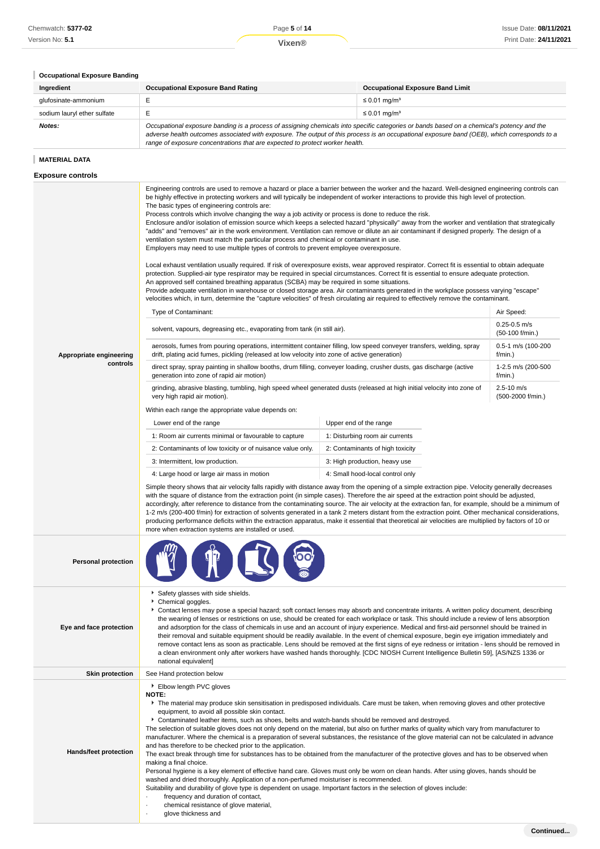# **Occupational Exposure Banding**

| Ingredient                  | <b>Occupational Exposure Band Rating</b>                                                                                                                                                                                                                                                                                                                                 | <b>Occupational Exposure Band Limit</b> |  |
|-----------------------------|--------------------------------------------------------------------------------------------------------------------------------------------------------------------------------------------------------------------------------------------------------------------------------------------------------------------------------------------------------------------------|-----------------------------------------|--|
| glufosinate-ammonium        |                                                                                                                                                                                                                                                                                                                                                                          | $\leq 0.01$ mg/m <sup>3</sup>           |  |
| sodium lauryl ether sulfate |                                                                                                                                                                                                                                                                                                                                                                          | $\leq 0.01$ mg/m <sup>3</sup>           |  |
| Notes:                      | Occupational exposure banding is a process of assigning chemicals into specific categories or bands based on a chemical's potency and the<br>adverse health outcomes associated with exposure. The output of this process is an occupational exposure band (OEB), which corresponds to a<br>range of exposure concentrations that are expected to protect worker health. |                                         |  |

## **MATERIAL DATA**

| <b>Exposure controls</b>     |                                                                                                                                                                                                                                                                                                                                                                                                                                                                                                                                                                                                                                                                                                                                                                                                                                                                                                                                                                                                                                                                                                                                                                                                                                                                                                                                                                                                                                                                                                                                                                                                                                     |                                                                                                                                         |                                     |  |  |
|------------------------------|-------------------------------------------------------------------------------------------------------------------------------------------------------------------------------------------------------------------------------------------------------------------------------------------------------------------------------------------------------------------------------------------------------------------------------------------------------------------------------------------------------------------------------------------------------------------------------------------------------------------------------------------------------------------------------------------------------------------------------------------------------------------------------------------------------------------------------------------------------------------------------------------------------------------------------------------------------------------------------------------------------------------------------------------------------------------------------------------------------------------------------------------------------------------------------------------------------------------------------------------------------------------------------------------------------------------------------------------------------------------------------------------------------------------------------------------------------------------------------------------------------------------------------------------------------------------------------------------------------------------------------------|-----------------------------------------------------------------------------------------------------------------------------------------|-------------------------------------|--|--|
|                              | Engineering controls are used to remove a hazard or place a barrier between the worker and the hazard. Well-designed engineering controls can<br>be highly effective in protecting workers and will typically be independent of worker interactions to provide this high level of protection.<br>The basic types of engineering controls are:<br>Process controls which involve changing the way a job activity or process is done to reduce the risk.<br>Enclosure and/or isolation of emission source which keeps a selected hazard "physically" away from the worker and ventilation that strategically<br>"adds" and "removes" air in the work environment. Ventilation can remove or dilute an air contaminant if designed properly. The design of a<br>ventilation system must match the particular process and chemical or contaminant in use.<br>Employers may need to use multiple types of controls to prevent employee overexposure.<br>Local exhaust ventilation usually required. If risk of overexposure exists, wear approved respirator. Correct fit is essential to obtain adequate<br>protection. Supplied-air type respirator may be required in special circumstances. Correct fit is essential to ensure adequate protection.<br>An approved self contained breathing apparatus (SCBA) may be required in some situations.<br>Provide adequate ventilation in warehouse or closed storage area. Air contaminants generated in the workplace possess varying "escape"<br>velocities which, in turn, determine the "capture velocities" of fresh circulating air required to effectively remove the contaminant. |                                                                                                                                         |                                     |  |  |
|                              | Type of Contaminant:                                                                                                                                                                                                                                                                                                                                                                                                                                                                                                                                                                                                                                                                                                                                                                                                                                                                                                                                                                                                                                                                                                                                                                                                                                                                                                                                                                                                                                                                                                                                                                                                                |                                                                                                                                         | Air Speed:                          |  |  |
|                              | solvent, vapours, degreasing etc., evaporating from tank (in still air).                                                                                                                                                                                                                                                                                                                                                                                                                                                                                                                                                                                                                                                                                                                                                                                                                                                                                                                                                                                                                                                                                                                                                                                                                                                                                                                                                                                                                                                                                                                                                            |                                                                                                                                         | $0.25 - 0.5$ m/s<br>(50-100 f/min.) |  |  |
| Appropriate engineering      | aerosols, fumes from pouring operations, intermittent container filling, low speed conveyer transfers, welding, spray<br>drift, plating acid fumes, pickling (released at low velocity into zone of active generation)                                                                                                                                                                                                                                                                                                                                                                                                                                                                                                                                                                                                                                                                                                                                                                                                                                                                                                                                                                                                                                                                                                                                                                                                                                                                                                                                                                                                              |                                                                                                                                         | 0.5-1 m/s (100-200<br>f/min.)       |  |  |
| controls                     | direct spray, spray painting in shallow booths, drum filling, conveyer loading, crusher dusts, gas discharge (active<br>generation into zone of rapid air motion)                                                                                                                                                                                                                                                                                                                                                                                                                                                                                                                                                                                                                                                                                                                                                                                                                                                                                                                                                                                                                                                                                                                                                                                                                                                                                                                                                                                                                                                                   |                                                                                                                                         | 1-2.5 m/s (200-500<br>f/min.)       |  |  |
|                              | grinding, abrasive blasting, tumbling, high speed wheel generated dusts (released at high initial velocity into zone of<br>very high rapid air motion).                                                                                                                                                                                                                                                                                                                                                                                                                                                                                                                                                                                                                                                                                                                                                                                                                                                                                                                                                                                                                                                                                                                                                                                                                                                                                                                                                                                                                                                                             |                                                                                                                                         | $2.5 - 10$ m/s<br>(500-2000 f/min.) |  |  |
|                              | Within each range the appropriate value depends on:                                                                                                                                                                                                                                                                                                                                                                                                                                                                                                                                                                                                                                                                                                                                                                                                                                                                                                                                                                                                                                                                                                                                                                                                                                                                                                                                                                                                                                                                                                                                                                                 |                                                                                                                                         |                                     |  |  |
|                              | Lower end of the range                                                                                                                                                                                                                                                                                                                                                                                                                                                                                                                                                                                                                                                                                                                                                                                                                                                                                                                                                                                                                                                                                                                                                                                                                                                                                                                                                                                                                                                                                                                                                                                                              | Upper end of the range                                                                                                                  |                                     |  |  |
|                              | 1: Room air currents minimal or favourable to capture                                                                                                                                                                                                                                                                                                                                                                                                                                                                                                                                                                                                                                                                                                                                                                                                                                                                                                                                                                                                                                                                                                                                                                                                                                                                                                                                                                                                                                                                                                                                                                               | 1: Disturbing room air currents                                                                                                         |                                     |  |  |
|                              | 2: Contaminants of low toxicity or of nuisance value only.                                                                                                                                                                                                                                                                                                                                                                                                                                                                                                                                                                                                                                                                                                                                                                                                                                                                                                                                                                                                                                                                                                                                                                                                                                                                                                                                                                                                                                                                                                                                                                          | 2: Contaminants of high toxicity                                                                                                        |                                     |  |  |
|                              | 3: Intermittent, low production.                                                                                                                                                                                                                                                                                                                                                                                                                                                                                                                                                                                                                                                                                                                                                                                                                                                                                                                                                                                                                                                                                                                                                                                                                                                                                                                                                                                                                                                                                                                                                                                                    | 3: High production, heavy use                                                                                                           |                                     |  |  |
|                              | 4: Large hood or large air mass in motion                                                                                                                                                                                                                                                                                                                                                                                                                                                                                                                                                                                                                                                                                                                                                                                                                                                                                                                                                                                                                                                                                                                                                                                                                                                                                                                                                                                                                                                                                                                                                                                           | 4: Small hood-local control only                                                                                                        |                                     |  |  |
|                              | Simple theory shows that air velocity falls rapidly with distance away from the opening of a simple extraction pipe. Velocity generally decreases<br>with the square of distance from the extraction point (in simple cases). Therefore the air speed at the extraction point should be adjusted,<br>accordingly, after reference to distance from the contaminating source. The air velocity at the extraction fan, for example, should be a minimum of<br>1-2 m/s (200-400 f/min) for extraction of solvents generated in a tank 2 meters distant from the extraction point. Other mechanical considerations,<br>producing performance deficits within the extraction apparatus, make it essential that theoretical air velocities are multiplied by factors of 10 or<br>more when extraction systems are installed or used.                                                                                                                                                                                                                                                                                                                                                                                                                                                                                                                                                                                                                                                                                                                                                                                                      |                                                                                                                                         |                                     |  |  |
| <b>Personal protection</b>   |                                                                                                                                                                                                                                                                                                                                                                                                                                                                                                                                                                                                                                                                                                                                                                                                                                                                                                                                                                                                                                                                                                                                                                                                                                                                                                                                                                                                                                                                                                                                                                                                                                     |                                                                                                                                         |                                     |  |  |
| Eye and face protection      | Safety glasses with side shields.<br>Chemical goggles.<br>▶ Contact lenses may pose a special hazard; soft contact lenses may absorb and concentrate irritants. A written policy document, describing<br>the wearing of lenses or restrictions on use, should be created for each workplace or task. This should include a review of lens absorption<br>and adsorption for the class of chemicals in use and an account of injury experience. Medical and first-aid personnel should be trained in<br>their removal and suitable equipment should be readily available. In the event of chemical exposure, begin eye irrigation immediately and<br>remove contact lens as soon as practicable. Lens should be removed at the first signs of eye redness or irritation - lens should be removed in<br>a clean environment only after workers have washed hands thoroughly. [CDC NIOSH Current Intelligence Bulletin 59], [AS/NZS 1336 or<br>national equivalent]                                                                                                                                                                                                                                                                                                                                                                                                                                                                                                                                                                                                                                                                     |                                                                                                                                         |                                     |  |  |
| <b>Skin protection</b>       | See Hand protection below                                                                                                                                                                                                                                                                                                                                                                                                                                                                                                                                                                                                                                                                                                                                                                                                                                                                                                                                                                                                                                                                                                                                                                                                                                                                                                                                                                                                                                                                                                                                                                                                           |                                                                                                                                         |                                     |  |  |
| <b>Hands/feet protection</b> | Elbow length PVC gloves<br><b>NOTE:</b><br>equipment, to avoid all possible skin contact.<br>▶ Contaminated leather items, such as shoes, belts and watch-bands should be removed and destroyed.<br>The selection of suitable gloves does not only depend on the material, but also on further marks of quality which vary from manufacturer to<br>manufacturer. Where the chemical is a preparation of several substances, the resistance of the glove material can not be calculated in advance<br>and has therefore to be checked prior to the application.<br>The exact break through time for substances has to be obtained from the manufacturer of the protective gloves and has to be observed when<br>making a final choice.<br>Personal hygiene is a key element of effective hand care. Gloves must only be worn on clean hands. After using gloves, hands should be<br>washed and dried thoroughly. Application of a non-perfumed moisturiser is recommended.<br>Suitability and durability of glove type is dependent on usage. Important factors in the selection of gloves include:<br>frequency and duration of contact,<br>chemical resistance of glove material,                                                                                                                                                                                                                                                                                                                                                                                                                                                  | ▶ The material may produce skin sensitisation in predisposed individuals. Care must be taken, when removing gloves and other protective |                                     |  |  |

· glove thickness and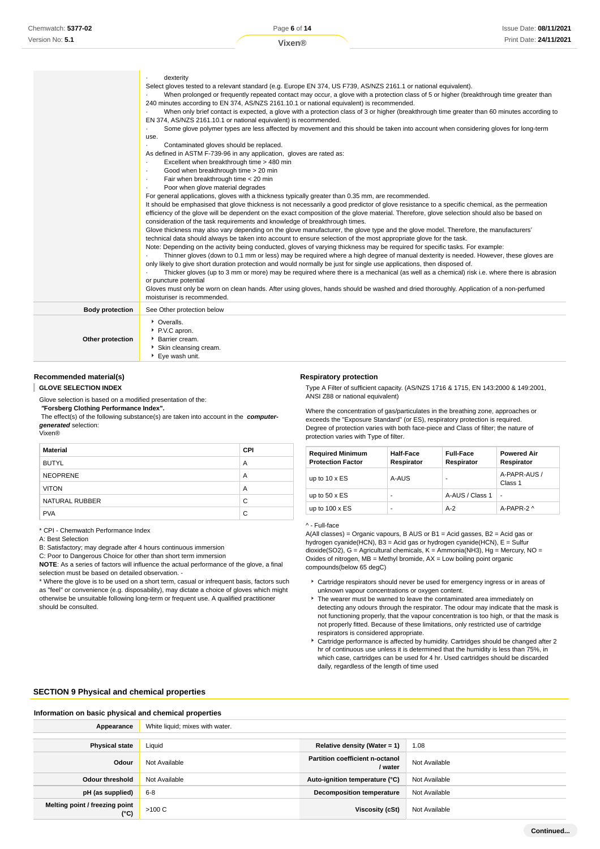|                        | dexterity<br>Select gloves tested to a relevant standard (e.g. Europe EN 374, US F739, AS/NZS 2161.1 or national equivalent).<br>When prolonged or frequently repeated contact may occur, a glove with a protection class of 5 or higher (breakthrough time greater than<br>240 minutes according to EN 374, AS/NZS 2161.10.1 or national equivalent) is recommended.<br>When only brief contact is expected, a glove with a protection class of 3 or higher (breakthrough time greater than 60 minutes according to<br>EN 374, AS/NZS 2161.10.1 or national equivalent) is recommended.<br>Some glove polymer types are less affected by movement and this should be taken into account when considering gloves for long-term<br>use.<br>Contaminated gloves should be replaced.<br>As defined in ASTM F-739-96 in any application, gloves are rated as:<br>Excellent when breakthrough time > 480 min<br>Good when breakthrough time > 20 min<br>$\cdot$<br>Fair when breakthrough time < 20 min<br>$\cdot$<br>Poor when glove material degrades<br>$\cdot$<br>For general applications, gloves with a thickness typically greater than 0.35 mm, are recommended.<br>It should be emphasised that glove thickness is not necessarily a good predictor of glove resistance to a specific chemical, as the permeation<br>efficiency of the glove will be dependent on the exact composition of the glove material. Therefore, glove selection should also be based on<br>consideration of the task requirements and knowledge of breakthrough times.<br>Glove thickness may also vary depending on the glove manufacturer, the glove type and the glove model. Therefore, the manufacturers'<br>technical data should always be taken into account to ensure selection of the most appropriate glove for the task.<br>Note: Depending on the activity being conducted, gloves of varying thickness may be required for specific tasks. For example:<br>Thinner gloves (down to 0.1 mm or less) may be required where a high degree of manual dexterity is needed. However, these gloves are<br>only likely to give short duration protection and would normally be just for single use applications, then disposed of.<br>Thicker gloves (up to 3 mm or more) may be required where there is a mechanical (as well as a chemical) risk i.e. where there is abrasion<br>or puncture potential<br>Gloves must only be worn on clean hands. After using gloves, hands should be washed and dried thoroughly. Application of a non-perfumed<br>moisturiser is recommended. |
|------------------------|------------------------------------------------------------------------------------------------------------------------------------------------------------------------------------------------------------------------------------------------------------------------------------------------------------------------------------------------------------------------------------------------------------------------------------------------------------------------------------------------------------------------------------------------------------------------------------------------------------------------------------------------------------------------------------------------------------------------------------------------------------------------------------------------------------------------------------------------------------------------------------------------------------------------------------------------------------------------------------------------------------------------------------------------------------------------------------------------------------------------------------------------------------------------------------------------------------------------------------------------------------------------------------------------------------------------------------------------------------------------------------------------------------------------------------------------------------------------------------------------------------------------------------------------------------------------------------------------------------------------------------------------------------------------------------------------------------------------------------------------------------------------------------------------------------------------------------------------------------------------------------------------------------------------------------------------------------------------------------------------------------------------------------------------------------------------------------------------------------------------------------------------------------------------------------------------------------------------------------------------------------------------------------------------------------------------------------------------------------------------------------------------------------------------------------------------------------------------------------------------------------------------------------------------------------------------|
| <b>Body protection</b> | See Other protection below                                                                                                                                                                                                                                                                                                                                                                                                                                                                                                                                                                                                                                                                                                                                                                                                                                                                                                                                                                                                                                                                                                                                                                                                                                                                                                                                                                                                                                                                                                                                                                                                                                                                                                                                                                                                                                                                                                                                                                                                                                                                                                                                                                                                                                                                                                                                                                                                                                                                                                                                             |
| Other protection       | • Overalls.<br>P.V.C apron.<br>Barrier cream.<br>Skin cleansing cream.<br>▶ Eye wash unit.                                                                                                                                                                                                                                                                                                                                                                                                                                                                                                                                                                                                                                                                                                                                                                                                                                                                                                                                                                                                                                                                                                                                                                                                                                                                                                                                                                                                                                                                                                                                                                                                                                                                                                                                                                                                                                                                                                                                                                                                                                                                                                                                                                                                                                                                                                                                                                                                                                                                             |

## **Recommended material(s)**

**GLOVE SELECTION INDEX**

Glove selection is based on a modified presentation of the:

 **"Forsberg Clothing Performance Index".**

\* CPI - Chemwatch Performance Index

selection must be based on detailed observation. -

A: Best Selection

should be consulted.

 The effect(s) of the following substance(s) are taken into account in the **computergenerated** selection: Vixen®

**NOTE**: As a series of factors will influence the actual performance of the glove, a final

\* Where the glove is to be used on a short term, casual or infrequent basis, factors such as "feel" or convenience (e.g. disposability), may dictate a choice of gloves which might otherwise be unsuitable following long-term or frequent use. A qualified practitioner

**Material CPI** BUTYL A NEOPRENE A VITON A PARTICIPATION AND A REPORT OF A STATE OF A STATE OF A STATE OF A STATE OF A STATE OF A STATE OF A STATE OF A STATE OF A STATE OF A STATE OF A STATE OF A STATE OF A STATE OF A STATE OF A STATE OF A STATE OF A STATE NATURAL RUBBER C PVA C

B: Satisfactory; may degrade after 4 hours continuous immersion C: Poor to Dangerous Choice for other than short term immersion

### **Respiratory protection**

Type A Filter of sufficient capacity. (AS/NZS 1716 & 1715, EN 143:2000 & 149:2001, ANSI Z88 or national equivalent)

Where the concentration of gas/particulates in the breathing zone, approaches or exceeds the "Exposure Standard" (or ES), respiratory protection is required. Degree of protection varies with both face-piece and Class of filter; the nature of protection varies with Type of filter.

| <b>Required Minimum</b><br><b>Protection Factor</b> | Half-Face<br>Respirator | <b>Full-Face</b><br>Respirator | <b>Powered Air</b><br>Respirator |
|-----------------------------------------------------|-------------------------|--------------------------------|----------------------------------|
| up to $10 \times ES$                                | A-AUS                   |                                | A-PAPR-AUS /<br>Class 1          |
| up to $50 \times ES$                                | -                       | A-AUS / Class 1                | ٠                                |
| up to $100 \times ES$                               | -                       | $A-2$                          | A-PAPR-2 ^                       |

^ - Full-face

A(All classes) = Organic vapours, B AUS or B1 = Acid gasses, B2 = Acid gas or hydrogen cyanide(HCN), B3 = Acid gas or hydrogen cyanide(HCN), E = Sulfur dioxide(SO2), G = Agricultural chemicals, K = Ammonia(NH3), Hg = Mercury, NO = Oxides of nitrogen, MB = Methyl bromide, AX = Low boiling point organic compounds(below 65 degC)

- Cartridge respirators should never be used for emergency ingress or in areas of unknown vapour concentrations or oxygen content.
- The wearer must be warned to leave the contaminated area immediately on detecting any odours through the respirator. The odour may indicate that the mask is not functioning properly, that the vapour concentration is too high, or that the mask is not properly fitted. Because of these limitations, only restricted use of cartridge respirators is considered appropriate.
- Cartridge performance is affected by humidity. Cartridges should be changed after 2 hr of continuous use unless it is determined that the humidity is less than 75%, in which case, cartridges can be used for 4 hr. Used cartridges should be discarded daily, regardless of the length of time used

## **SECTION 9 Physical and chemical properties**

| Information on basic physical and chemical properties |                                                              |                                            |               |  |  |
|-------------------------------------------------------|--------------------------------------------------------------|--------------------------------------------|---------------|--|--|
| Appearance                                            | White liquid; mixes with water.                              |                                            |               |  |  |
|                                                       |                                                              |                                            |               |  |  |
| <b>Physical state</b>                                 | Liquid                                                       | Relative density (Water = $1$ )            | 1.08          |  |  |
| Odour                                                 | Not Available                                                | Partition coefficient n-octanol<br>/ water | Not Available |  |  |
| Odour threshold                                       | Not Available                                                | Auto-ignition temperature (°C)             | Not Available |  |  |
| pH (as supplied)                                      | <b>Decomposition temperature</b><br>$6 - 8$<br>Not Available |                                            |               |  |  |
| Melting point / freezing point<br>$(^{\circ}C)$       | >100 C                                                       | Viscosity (cSt)                            | Not Available |  |  |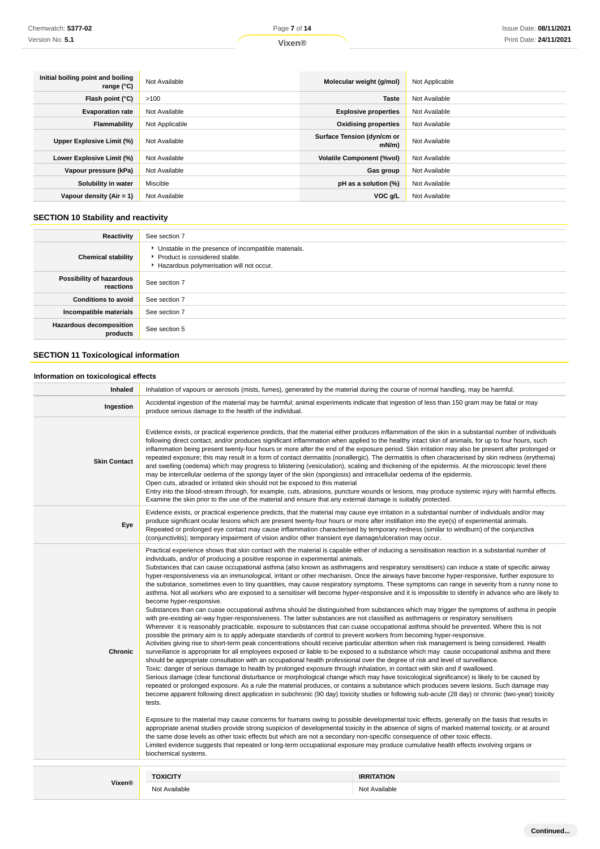| Initial boiling point and boiling<br>range (°C) | Not Available  | Molecular weight (g/mol)           | Not Applicable |
|-------------------------------------------------|----------------|------------------------------------|----------------|
| Flash point (°C)                                | >100           | <b>Taste</b>                       | Not Available  |
| <b>Evaporation rate</b>                         | Not Available  | <b>Explosive properties</b>        | Not Available  |
| <b>Flammability</b>                             | Not Applicable | <b>Oxidising properties</b>        | Not Available  |
| Upper Explosive Limit (%)                       | Not Available  | Surface Tension (dyn/cm or<br>mN/m | Not Available  |
| Lower Explosive Limit (%)                       | Not Available  | <b>Volatile Component (%vol)</b>   | Not Available  |
| Vapour pressure (kPa)                           | Not Available  | Gas group                          | Not Available  |
| Solubility in water                             | Miscible       | pH as a solution (%)               | Not Available  |
| Vapour density $(Air = 1)$                      | Not Available  | VOC g/L                            | Not Available  |

## **SECTION 10 Stability and reactivity**

| Reactivity                            | See section 7                                                                                                                        |
|---------------------------------------|--------------------------------------------------------------------------------------------------------------------------------------|
| <b>Chemical stability</b>             | • Unstable in the presence of incompatible materials.<br>▶ Product is considered stable.<br>Hazardous polymerisation will not occur. |
| Possibility of hazardous<br>reactions | See section 7                                                                                                                        |
| <b>Conditions to avoid</b>            | See section 7                                                                                                                        |
| Incompatible materials                | See section 7                                                                                                                        |
| Hazardous decomposition<br>products   | See section 5                                                                                                                        |

## **SECTION 11 Toxicological information**

## **Information on toxicological effects**

| Inhaled             | Inhalation of vapours or aerosols (mists, fumes), generated by the material during the course of normal handling, may be harmful.                                                                                                                                                                                                                                                                                                                                                                                                                                                                                                                                                                                                                                                                                                                                                                                                                                                                                                                                                                                                                                                                                                                                                                                                                                                                                                                                                                                                                                                                                                                                                                                                                                                                                                                                                                                                                                                                                                                                                                                                                                                                                                                                                                                                                                                                                                                                                                                                                                                                                                                                                                                                                                                                                                                                                                                                                                                                                                            |                                    |  |
|---------------------|----------------------------------------------------------------------------------------------------------------------------------------------------------------------------------------------------------------------------------------------------------------------------------------------------------------------------------------------------------------------------------------------------------------------------------------------------------------------------------------------------------------------------------------------------------------------------------------------------------------------------------------------------------------------------------------------------------------------------------------------------------------------------------------------------------------------------------------------------------------------------------------------------------------------------------------------------------------------------------------------------------------------------------------------------------------------------------------------------------------------------------------------------------------------------------------------------------------------------------------------------------------------------------------------------------------------------------------------------------------------------------------------------------------------------------------------------------------------------------------------------------------------------------------------------------------------------------------------------------------------------------------------------------------------------------------------------------------------------------------------------------------------------------------------------------------------------------------------------------------------------------------------------------------------------------------------------------------------------------------------------------------------------------------------------------------------------------------------------------------------------------------------------------------------------------------------------------------------------------------------------------------------------------------------------------------------------------------------------------------------------------------------------------------------------------------------------------------------------------------------------------------------------------------------------------------------------------------------------------------------------------------------------------------------------------------------------------------------------------------------------------------------------------------------------------------------------------------------------------------------------------------------------------------------------------------------------------------------------------------------------------------------------------------------|------------------------------------|--|
| Ingestion           | Accidental ingestion of the material may be harmful; animal experiments indicate that ingestion of less than 150 gram may be fatal or may<br>produce serious damage to the health of the individual.                                                                                                                                                                                                                                                                                                                                                                                                                                                                                                                                                                                                                                                                                                                                                                                                                                                                                                                                                                                                                                                                                                                                                                                                                                                                                                                                                                                                                                                                                                                                                                                                                                                                                                                                                                                                                                                                                                                                                                                                                                                                                                                                                                                                                                                                                                                                                                                                                                                                                                                                                                                                                                                                                                                                                                                                                                         |                                    |  |
| <b>Skin Contact</b> | Evidence exists, or practical experience predicts, that the material either produces inflammation of the skin in a substantial number of individuals<br>following direct contact, and/or produces significant inflammation when applied to the healthy intact skin of animals, for up to four hours, such<br>inflammation being present twenty-four hours or more after the end of the exposure period. Skin irritation may also be present after prolonged or<br>repeated exposure; this may result in a form of contact dermatitis (nonallergic). The dermatitis is often characterised by skin redness (erythema)<br>and swelling (oedema) which may progress to blistering (vesiculation), scaling and thickening of the epidermis. At the microscopic level there<br>may be intercellular oedema of the spongy layer of the skin (spongiosis) and intracellular oedema of the epidermis.<br>Open cuts, abraded or irritated skin should not be exposed to this material<br>Entry into the blood-stream through, for example, cuts, abrasions, puncture wounds or lesions, may produce systemic injury with harmful effects.<br>Examine the skin prior to the use of the material and ensure that any external damage is suitably protected.                                                                                                                                                                                                                                                                                                                                                                                                                                                                                                                                                                                                                                                                                                                                                                                                                                                                                                                                                                                                                                                                                                                                                                                                                                                                                                                                                                                                                                                                                                                                                                                                                                                                                                                                                                                             |                                    |  |
| Eye                 | Evidence exists, or practical experience predicts, that the material may cause eye irritation in a substantial number of individuals and/or may<br>produce significant ocular lesions which are present twenty-four hours or more after instillation into the eye(s) of experimental animals.<br>Repeated or prolonged eye contact may cause inflammation characterised by temporary redness (similar to windburn) of the conjunctiva<br>(conjunctivitis); temporary impairment of vision and/or other transient eye damage/ulceration may occur.                                                                                                                                                                                                                                                                                                                                                                                                                                                                                                                                                                                                                                                                                                                                                                                                                                                                                                                                                                                                                                                                                                                                                                                                                                                                                                                                                                                                                                                                                                                                                                                                                                                                                                                                                                                                                                                                                                                                                                                                                                                                                                                                                                                                                                                                                                                                                                                                                                                                                            |                                    |  |
| Chronic             | Practical experience shows that skin contact with the material is capable either of inducing a sensitisation reaction in a substantial number of<br>individuals, and/or of producing a positive response in experimental animals.<br>Substances that can cause occupational asthma (also known as asthmagens and respiratory sensitisers) can induce a state of specific airway<br>hyper-responsiveness via an immunological, irritant or other mechanism. Once the airways have become hyper-responsive, further exposure to<br>the substance, sometimes even to tiny quantities, may cause respiratory symptoms. These symptoms can range in severity from a runny nose to<br>asthma. Not all workers who are exposed to a sensitiser will become hyper-responsive and it is impossible to identify in advance who are likely to<br>become hyper-responsive.<br>Substances than can cuase occupational asthma should be distinguished from substances which may trigger the symptoms of asthma in people<br>with pre-existing air-way hyper-responsiveness. The latter substances are not classified as asthmagens or respiratory sensitisers<br>Wherever it is reasonably practicable, exposure to substances that can cuase occupational asthma should be prevented. Where this is not<br>possible the primary aim is to apply adequate standards of control to prevent workers from becoming hyper-responsive.<br>Activities giving rise to short-term peak concentrations should receive particular attention when risk management is being considered. Health<br>surveillance is appropriate for all employees exposed or liable to be exposed to a substance which may cause occupational asthma and there<br>should be appropriate consultation with an occupational health professional over the degree of risk and level of surveillance.<br>Toxic: danger of serious damage to health by prolonged exposure through inhalation, in contact with skin and if swallowed.<br>Serious damage (clear functional disturbance or morphological change which may have toxicological significance) is likely to be caused by<br>repeated or prolonged exposure. As a rule the material produces, or contains a substance which produces severe lesions. Such damage may<br>become apparent following direct application in subchronic (90 day) toxicity studies or following sub-acute (28 day) or chronic (two-year) toxicity<br>tests.<br>Exposure to the material may cause concerns for humans owing to possible developmental toxic effects, generally on the basis that results in<br>appropriate animal studies provide strong suspicion of developmental toxicity in the absence of signs of marked maternal toxicity, or at around<br>the same dose levels as other toxic effects but which are not a secondary non-specific consequence of other toxic effects.<br>Limited evidence suggests that repeated or long-term occupational exposure may produce cumulative health effects involving organs or<br>biochemical systems. |                                    |  |
|                     |                                                                                                                                                                                                                                                                                                                                                                                                                                                                                                                                                                                                                                                                                                                                                                                                                                                                                                                                                                                                                                                                                                                                                                                                                                                                                                                                                                                                                                                                                                                                                                                                                                                                                                                                                                                                                                                                                                                                                                                                                                                                                                                                                                                                                                                                                                                                                                                                                                                                                                                                                                                                                                                                                                                                                                                                                                                                                                                                                                                                                                              |                                    |  |
| Vixen®              | <b>TOXICITY</b><br>Not Available                                                                                                                                                                                                                                                                                                                                                                                                                                                                                                                                                                                                                                                                                                                                                                                                                                                                                                                                                                                                                                                                                                                                                                                                                                                                                                                                                                                                                                                                                                                                                                                                                                                                                                                                                                                                                                                                                                                                                                                                                                                                                                                                                                                                                                                                                                                                                                                                                                                                                                                                                                                                                                                                                                                                                                                                                                                                                                                                                                                                             | <b>IRRITATION</b><br>Not Available |  |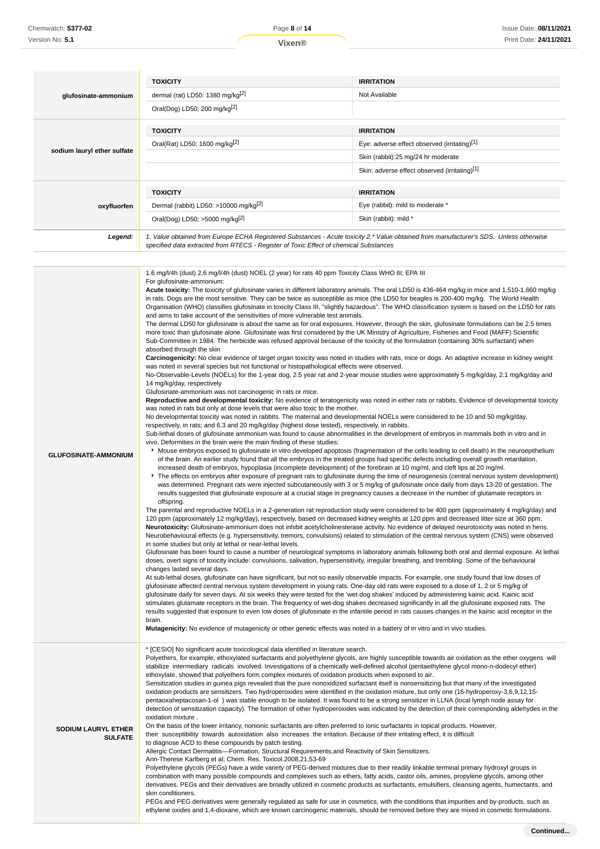| glufosinate-ammonium        | <b>TOXICITY</b><br>dermal (rat) LD50: 1380 mg/kg $[2]$<br>Oral(Dog) LD50; 200 mg/kg <sup>[2]</sup>                                                                                                                              | <b>IRRITATION</b><br>Not Available                                                                                                                       |
|-----------------------------|---------------------------------------------------------------------------------------------------------------------------------------------------------------------------------------------------------------------------------|----------------------------------------------------------------------------------------------------------------------------------------------------------|
| sodium lauryl ether sulfate | <b>TOXICITY</b><br>Oral(Rat) LD50; 1600 mg/kg[2]                                                                                                                                                                                | <b>IRRITATION</b><br>Eye: adverse effect observed (irritating)[1]<br>Skin (rabbit):25 mg/24 hr moderate<br>Skin: adverse effect observed (irritating)[1] |
| oxyfluorfen                 | <b>TOXICITY</b><br>Dermal (rabbit) LD50: >10000 mg/kg <sup>[2]</sup><br>Oral(Dog) LD50; >5000 mg/kg <sup>[2]</sup>                                                                                                              | <b>IRRITATION</b><br>Eye (rabbit): mild to moderate *<br>Skin (rabbit): mild *                                                                           |
| Legend:                     | 1. Value obtained from Europe ECHA Registered Substances - Acute toxicity 2.* Value obtained from manufacturer's SDS. Unless otherwise<br>specified data extracted from RTECS - Register of Toxic Effect of chemical Substances |                                                                                                                                                          |

| <b>GLUFOSINATE-AMMONIUM</b>                  | 1.6 mg/l/4h (dust) 2.6 mg/l/4h (dust) NOEL (2 year) for rats 40 ppm Toxicity Class WHO III; EPA III<br>For glufosinate-ammonium:<br>Acute toxicity: The toxicity of glufosinate varies in different laboratory animals. The oral LD50 is 436-464 mg/kg in mice and 1,510-1,660 mg/kg<br>in rats. Dogs are the most sensitive. They can be twice as susceptible as mice (the LD50 for beagles is 200-400 mg/kg. The World Health<br>Organisation (WHO) classifies glufosinate in toxicity Class III, "slightly hazardous". The WHO classification system is based on the LD50 for rats<br>and aims to take account of the sensitivities of more vulnerable test animals.<br>The dermal LD50 for glufosinate is about the same as for oral exposures. However, through the skin, glufosinate formulations can be 2.5 times<br>more toxic than glufosinate alone. Glufosinate was first considered by the UK Ministry of Agriculture, Fisheries and Food (MAFF) Scientific<br>Sub-Committee in 1984. The herbicide was refused approval because of the toxicity of the formulation (containing 30% surfactant) when<br>absorbed through the skin<br>Carcinogenicity: No clear evidence of target organ toxicity was noted in studies with rats, mice or dogs. An adaptive increase in kidney weight<br>was noted in several species but not functional or histopathological effects were observed.<br>No-Observable-Levels (NOELs) for the 1-year dog, 2.5 year rat and 2-year mouse studies were approximately 5 mg/kg/day, 2.1 mg/kg/day and<br>14 mg/kg/day, respectively<br>Glufosinate-ammonium was not carcinogenic in rats or mice.<br>Reproductive and developmental toxicity: No evidence of teratogenicity was noted in either rats or rabbits. Evidence of developmental toxicity<br>was noted in rats but only at dose levels that were also toxic to the mother.<br>No developmental toxicity was noted in rabbits. The maternal and developmental NOELs were considered to be 10 and 50 mg/kg/day,<br>respectively, in rats; and 6.3 and 20 mg/kg/day (highest dose tested), respectively, in rabbits.<br>Sub-lethal doses of glufosinate ammonium was found to cause abnormalities in the development of embryos in mammals both in vitro and in<br>vivo. Deformities in the brain were the main finding of these studies:<br>▶ Mouse embryos exposed to glufosinate in vitro developed apoptosis (fragmentation of the cells leading to cell death) in the neuroepithelium<br>of the brain. An earlier study found that all the embryos in the treated groups had specific defects including overall growth retardation,<br>increased death of embryos, hypoplasia (incomplete development) of the forebrain at 10 mg/ml, and cleft lips at 20 mg/ml.<br>The effects on embryos after exposure of pregnant rats to glufosinate during the time of neurogenesis (central nervous system development)<br>was determined. Pregnant rats were injected subcutaneously with 3 or 5 mg/kg of glufosinate once daily from days 13-20 of gestation. The<br>results suggested that glufosinate exposure at a crucial stage in pregnancy causes a decrease in the number of glutamate receptors in<br>offspring.<br>The parental and reproductive NOELs in a 2-generation rat reproduction study were considered to be 400 ppm (approximately 4 mg/kg/day) and<br>120 ppm (approximately 12 mg/kg/day), respectively, based on decreased kidney weights at 120 ppm and decreased litter size at 360 ppm.<br>Neurotoxicity: Glufosinate-ammonium does not inhibit acetylcholinesterase activity. No evidence of delayed neurotoxicity was noted in hens.<br>Neurobehavioural effects (e.g. hypersensitivity, tremors, convulsions) related to stimulation of the central nervous system (CNS) were observed<br>in some studies but only at lethal or near-lethal levels.<br>Glufosinate has been found to cause a number of neurological symptoms in laboratory animals following both oral and dermal exposure. At lethal<br>doses, overt signs of toxicity include: convulsions, salivation, hypersensitivity, irregular breathing, and trembling. Some of the behavioural<br>changes lasted several days.<br>At sub-lethal doses, glufosinate can have significant, but not so easily observable impacts. For example, one study found that low doses of<br>glufosinate affected central nervous system development in young rats. One-day old rats were exposed to a dose of 1, 2 or 5 mg/kg of<br>glufosinate daily for seven days. At six weeks they were tested for the 'wet-dog shakes' induced by administering kainic acid. Kainic acid<br>stimulates glutamate receptors in the brain. The frequency of wet-dog shakes decreased significantly in all the glufosinate exposed rats. The<br>results suggested that exposure to even low doses of glufosinate in the infantile period in rats causes changes in the kainic acid receptor in the<br>brain.<br>Mutagenicity: No evidence of mutagenicity or other genetic effects was noted in a battery of in vitro and in vivo studies. |
|----------------------------------------------|----------------------------------------------------------------------------------------------------------------------------------------------------------------------------------------------------------------------------------------------------------------------------------------------------------------------------------------------------------------------------------------------------------------------------------------------------------------------------------------------------------------------------------------------------------------------------------------------------------------------------------------------------------------------------------------------------------------------------------------------------------------------------------------------------------------------------------------------------------------------------------------------------------------------------------------------------------------------------------------------------------------------------------------------------------------------------------------------------------------------------------------------------------------------------------------------------------------------------------------------------------------------------------------------------------------------------------------------------------------------------------------------------------------------------------------------------------------------------------------------------------------------------------------------------------------------------------------------------------------------------------------------------------------------------------------------------------------------------------------------------------------------------------------------------------------------------------------------------------------------------------------------------------------------------------------------------------------------------------------------------------------------------------------------------------------------------------------------------------------------------------------------------------------------------------------------------------------------------------------------------------------------------------------------------------------------------------------------------------------------------------------------------------------------------------------------------------------------------------------------------------------------------------------------------------------------------------------------------------------------------------------------------------------------------------------------------------------------------------------------------------------------------------------------------------------------------------------------------------------------------------------------------------------------------------------------------------------------------------------------------------------------------------------------------------------------------------------------------------------------------------------------------------------------------------------------------------------------------------------------------------------------------------------------------------------------------------------------------------------------------------------------------------------------------------------------------------------------------------------------------------------------------------------------------------------------------------------------------------------------------------------------------------------------------------------------------------------------------------------------------------------------------------------------------------------------------------------------------------------------------------------------------------------------------------------------------------------------------------------------------------------------------------------------------------------------------------------------------------------------------------------------------------------------------------------------------------------------------------------------------------------------------------------------------------------------------------------------------------------------------------------------------------------------------------------------------------------------------------------------------------------------------------------------------------------------------------------------------------------------------------------------------------------------------------------------------------------------------------------------------------------------------------------------------------------------------------------------------------------------------------------------------------------------------------------------------------------------------------------------------------------------------------------------------------------------------------------------------|
| <b>SODIUM LAURYL ETHER</b><br><b>SULFATE</b> | * [CESIO] No significant acute toxicological data identified in literature search.<br>Polyethers, for example, ethoxylated surfactants and polyethylene glycols, are highly susceptible towards air oxidation as the ether oxygens will<br>stabilize intermediary radicals involved. Investigations of a chemically well-defined alcohol (pentaethylene glycol mono-n-dodecyl ether)<br>ethoxylate, showed that polyethers form complex mixtures of oxidation products when exposed to air.<br>Sensitization studies in guinea pigs revealed that the pure nonoxidized surfactant itself is nonsensitizing but that many of the investigated<br>oxidation products are sensitizers. Two hydroperoxides were identified in the oxidation mixture, but only one (16-hydroperoxy-3,6,9,12,15-<br>pentaoxaheptacosan-1-ol) was stable enough to be isolated. It was found to be a strong sensitizer in LLNA (local lymph node assay for<br>detection of sensitization capacity). The formation of other hydroperoxides was indicated by the detection of their corresponding aldehydes in the<br>oxidation mixture.<br>On the basis of the lower irritancy, nonionic surfactants are often preferred to ionic surfactants in topical products. However,<br>their susceptibility towards autoxidation also increases the irritation. Because of their irritating effect, it is difficult<br>to diagnose ACD to these compounds by patch testing.<br>Allergic Contact Dermatitis--Formation, Structural Requirements, and Reactivity of Skin Sensitizers.<br>Ann-Therese Karlberg et al; Chem. Res. Toxicol.2008,21,53-69<br>Polyethylene glycols (PEGs) have a wide variety of PEG-derived mixtures due to their readily linkable terminal primary hydroxyl groups in<br>combination with many possible compounds and complexes such as ethers, fatty acids, castor oils, amines, propylene glycols, among other<br>derivatives. PEGs and their derivatives are broadly utilized in cosmetic products as surfactants, emulsifiers, cleansing agents, humectants, and<br>skin conditioners.<br>PEGs and PEG derivatives were generally regulated as safe for use in cosmetics, with the conditions that impurities and by-products, such as<br>ethylene oxides and 1,4-dioxane, which are known carcinogenic materials, should be removed before they are mixed in cosmetic formulations.                                                                                                                                                                                                                                                                                                                                                                                                                                                                                                                                                                                                                                                                                                                                                                                                                                                                                                                                                                                                                                                                                                                                                                                                                                                                                                                                                                                                                                                                                                                                                                                                                                                                                                                                                                                                                                                                                                                                                                                                                                                                                                                                                                                                                                                                                                                                                                                                                                                                                                                                                                                                                                                                                                                |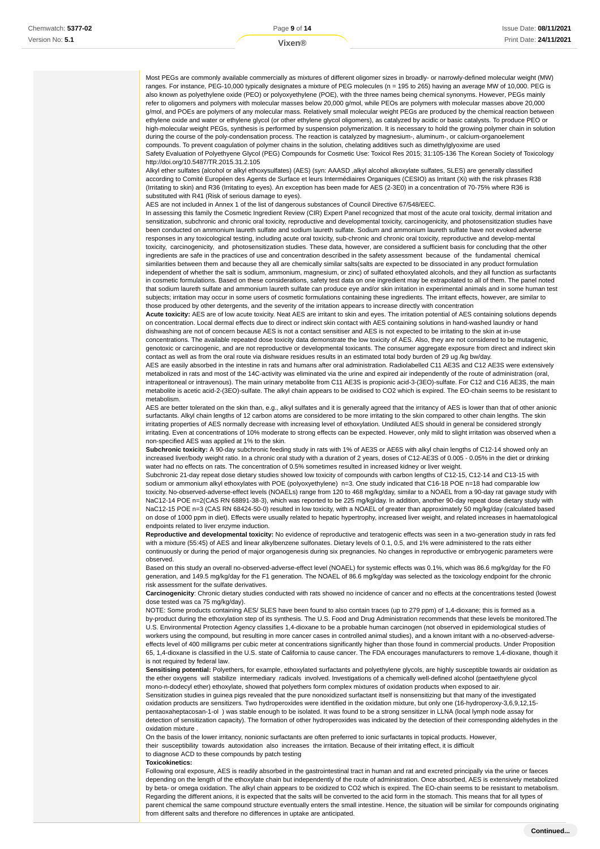Most PEGs are commonly available commercially as mixtures of different oligomer sizes in broadly- or narrowly-defined molecular weight (MW) ranges. For instance, PEG-10,000 typically designates a mixture of PEG molecules (n = 195 to 265) having an average MW of 10,000. PEG is also known as polyethylene oxide (PEO) or polyoxyethylene (POE), with the three names being chemical synonyms. However, PEGs mainly refer to oligomers and polymers with molecular masses below 20,000 g/mol, while PEOs are polymers with molecular masses above 20,000 g/mol, and POEs are polymers of any molecular mass. Relatively small molecular weight PEGs are produced by the chemical reaction between ethylene oxide and water or ethylene glycol (or other ethylene glycol oligomers), as catalyzed by acidic or basic catalysts. To produce PEO or high-molecular weight PEGs, synthesis is performed by suspension polymerization. It is necessary to hold the growing polymer chain in solution during the course of the poly-condensation process. The reaction is catalyzed by magnesium-, aluminum-, or calcium-organoelement compounds. To prevent coagulation of polymer chains in the solution, chelating additives such as dimethylglyoxime are used Safety Evaluation of Polyethyene Glycol (PEG) Compounds for Cosmetic Use: Toxicol Res 2015; 31:105-136 The Korean Society of Toxicology http://doi.org/10.5487/TR.2015.31.2.105

Alkyl ether sulfates (alcohol or alkyl ethoxysulfates) (AES) (syn: AAASD ,alkyl alcohol alkoxylate sulfates, SLES) are generally classified according to Comité Européen des Agents de Surface et leurs Intermédiaires Organiques (CESIO) as Irritant (Xi) with the risk phrases R38 (Irritating to skin) and R36 (Irritating to eyes). An exception has been made for AES (2-3E0) in a concentration of 70-75% where R36 is substituted with R41 (Risk of serious damage to eyes).

AES are not included in Annex 1 of the list of dangerous substances of Council Directive 67/548/EEC.

In assessing this family the Cosmetic Ingredient Review (CIR) Expert Panel recognized that most of the acute oral toxicity, dermal irritation and sensitization, subchronic and chronic oral toxicity, reproductive and developmental toxicity, carcinogenicity, and photosensitization studies have been conducted on ammonium laureth sulfate and sodium laureth sulfate. Sodium and ammonium laureth sulfate have not evoked adverse responses in any toxicological testing, including acute oral toxicity, sub-chronic and chronic oral toxicity, reproductive and develop-mental toxicity, carcinogenicity, and photosensitization studies. These data, however, are considered a sufficient basis for concluding that the other ingredients are safe in the practices of use and concentration described in the safety assessment because of the fundamental chemical similarities between them and because they all are chemically similar salts(salts are expected to be dissociated in any product formulation independent of whether the salt is sodium, ammonium, magnesium, or zinc) of sulfated ethoxylated alcohols, and they all function as surfactants in cosmetic formulations. Based on these considerations, safety test data on one ingredient may be extrapolated to all of them. The panel noted that sodium laureth sulfate and ammonium laureth sulfate can produce eye and/or skin irritation in experimental animals and in some human test subjects; irritation may occur in some users of cosmetic formulations containing these ingredients. The irritant effects, however, are similar to those produced by other detergents, and the severity of the irritation appears to increase directly with concentration

**Acute toxicity:** AES are of low acute toxicity. Neat AES are irritant to skin and eyes. The irritation potential of AES containing solutions depends on concentration. Local dermal effects due to direct or indirect skin contact with AES containing solutions in hand-washed laundry or hand dishwashing are not of concern because AES is not a contact sensitiser and AES is not expected to be irritating to the skin at in-use concentrations. The available repeated dose toxicity data demonstrate the low toxicity of AES. Also, they are not considered to be mutagenic, genotoxic or carcinogenic, and are not reproductive or developmental toxicants. The consumer aggregate exposure from direct and indirect skin contact as well as from the oral route via dishware residues results in an estimated total body burden of 29 ug /kg bw/day.

AES are easily absorbed in the intestine in rats and humans after oral administration. Radiolabelled C11 AE3S and C12 AE3S were extensively metabolized in rats and most of the 14C-activity was eliminated via the urine and expired air independently of the route of administration (oral, intraperitoneal or intravenous). The main urinary metabolite from C11 AE3S is propionic acid-3-(3EO)-sulfate. For C12 and C16 AE3S, the main metabolite is acetic acid-2-(3EO)-sulfate. The alkyl chain appears to be oxidised to CO2 which is expired. The EO-chain seems to be resistant to metabolism.

AES are better tolerated on the skin than, e.g., alkyl sulfates and it is generally agreed that the irritancy of AES is lower than that of other anionic surfactants. Alkyl chain lengths of 12 carbon atoms are considered to be more irritating to the skin compared to other chain lengths. The skin irritating properties of AES normally decrease with increasing level of ethoxylation. Undiluted AES should in general be considered strongly irritating. Even at concentrations of 10% moderate to strong effects can be expected. However, only mild to slight irritation was observed when a non-specified AES was applied at 1% to the skin.

Subchronic toxicity: A 90-day subchronic feeding study in rats with 1% of AE3S or AE6S with alkyl chain lengths of C12-14 showed only an increased liver/body weight ratio. In a chronic oral study with a duration of 2 years, doses of C12-AE3S of 0.005 - 0.05% in the diet or drinking water had no effects on rats. The concentration of 0.5% sometimes resulted in increased kidney or liver weight.

Subchronic 21-day repeat dose dietary studies showed low toxicity of compounds with carbon lengths of C12-15, C12-14 and C13-15 with sodium or ammonium alkyl ethoxylates with POE (polyoxyethylene) n=3. One study indicated that C16-18 POE n=18 had comparable low toxicity. No-observed-adverse-effect levels (NOAELs) range from 120 to 468 mg/kg/day, similar to a NOAEL from a 90-day rat gavage study with NaC12-14 POE n=2(CAS RN 68891-38-3), which was reported to be 225 mg/kg/day. In addition, another 90-day repeat dose dietary study with NaC12-15 POE n=3 (CAS RN 68424-50-0) resulted in low toxicity, with a NOAEL of greater than approximately 50 mg/kg/day (calculated based on dose of 1000 ppm in diet). Effects were usually related to hepatic hypertrophy, increased liver weight, and related increases in haematological endpoints related to liver enzyme induction.

**Reproductive and developmental toxicity:** No evidence of reproductive and teratogenic effects was seen in a two-generation study in rats fed with a mixture (55:45) of AES and linear alkylbenzene sulfonates. Dietary levels of 0.1, 0.5, and 1% were administered to the rats either continuously or during the period of major organogenesis during six pregnancies. No changes in reproductive or embryogenic parameters were observed.

Based on this study an overall no-observed-adverse-effect level (NOAEL) for systemic effects was 0.1%, which was 86.6 mg/kg/day for the F0 generation, and 149.5 mg/kg/day for the F1 generation. The NOAEL of 86.6 mg/kg/day was selected as the toxicology endpoint for the chronic risk assessment for the sulfate derivatives.

**Carcinogenicity**: Chronic dietary studies conducted with rats showed no incidence of cancer and no effects at the concentrations tested (lowest dose tested was ca 75 mg/kg/day).

NOTE: Some products containing AES/ SLES have been found to also contain traces (up to 279 ppm) of 1,4-dioxane; this is formed as a by-product during the ethoxylation step of its synthesis. The U.S. Food and Drug Administration recommends that these levels be monitored.The U.S. Environmental Protection Agency classifies 1,4-dioxane to be a probable human carcinogen (not observed in epidemiological studies of workers using the compound, but resulting in more cancer cases in controlled animal studies), and a known irritant with a no-observed-adverseeffects level of 400 milligrams per cubic meter at concentrations significantly higher than those found in commercial products. Under Proposition 65, 1,4-dioxane is classified in the U.S. state of California to cause cancer. The FDA encourages manufacturers to remove 1,4-dioxane, though it is not required by federal law.

**Sensitising potential:** Polyethers, for example, ethoxylated surfactants and polyethylene glycols, are highly susceptible towards air oxidation as the ether oxygens will stabilize intermediary radicals involved. Investigations of a chemically well-defined alcohol (pentaethylene glycol mono-n-dodecyl ether) ethoxylate, showed that polyethers form complex mixtures of oxidation products when exposed to air. Sensitization studies in guinea pigs revealed that the pure nonoxidized surfactant itself is nonsensitizing but that many of the investigated oxidation products are sensitizers. Two hydroperoxides were identified in the oxidation mixture, but only one (16-hydroperoxy-3,6,9,12,15 pentaoxaheptacosan-1-ol ) was stable enough to be isolated. It was found to be a strong sensitizer in LLNA (local lymph node assay for detection of sensitization capacity). The formation of other hydroperoxides was indicated by the detection of their corresponding aldehydes in the oxidation mixture .

On the basis of the lower irritancy, nonionic surfactants are often preferred to ionic surfactants in topical products. However, their susceptibility towards autoxidation also increases the irritation. Because of their irritating effect, it is difficult to diagnose ACD to these compounds by patch testing

#### **Toxicokinetics:**

Following oral exposure, AES is readily absorbed in the gastrointestinal tract in human and rat and excreted principally via the urine or faeces depending on the length of the ethoxylate chain but independently of the route of administration. Once absorbed, AES is extensively metabolized by beta- or omega oxidation. The alkyl chain appears to be oxidized to CO2 which is expired. The EO-chain seems to be resistant to metabolism. Regarding the different anions, it is expected that the salts will be converted to the acid form in the stomach. This means that for all types of parent chemical the same compound structure eventually enters the small intestine. Hence, the situation will be similar for compounds originating from different salts and therefore no differences in uptake are anticipated.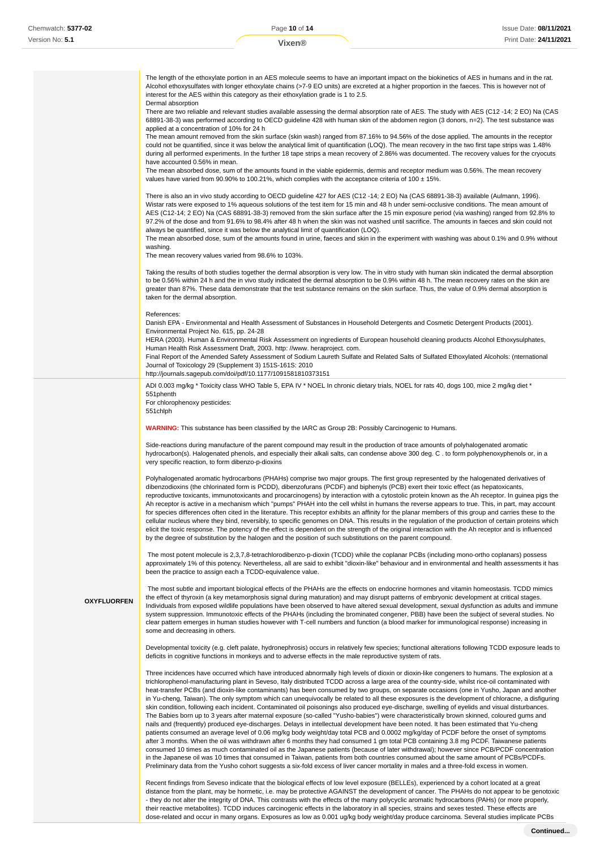The length of the ethoxylate portion in an AES molecule seems to have an important impact on the biokinetics of AES in humans and in the rat. Alcohol ethoxysulfates with longer ethoxylate chains (>7-9 EO units) are excreted at a higher proportion in the faeces. This is however not of interest for the AES within this category as their ethoxylation grade is 1 to 2.5.

Dermal absorption

There are two reliable and relevant studies available assessing the dermal absorption rate of AES. The study with AES (C12 -14; 2 EO) Na (CAS 68891-38-3) was performed according to OECD guideline 428 with human skin of the abdomen region (3 donors, n=2). The test substance was applied at a concentration of 10% for 24 h

The mean amount removed from the skin surface (skin wash) ranged from 87.16% to 94.56% of the dose applied. The amounts in the receptor could not be quantified, since it was below the analytical limit of quantification (LOQ). The mean recovery in the two first tape strips was 1.48% during all performed experiments. In the further 18 tape strips a mean recovery of 2.86% was documented. The recovery values for the cryocuts have accounted 0.56% in mean.

The mean absorbed dose, sum of the amounts found in the viable epidermis, dermis and receptor medium was 0.56%. The mean recovery values have varied from 90.90% to 100.21%, which complies with the acceptance criteria of  $100 \pm 15$ %.

There is also an in vivo study according to OECD guideline 427 for AES (C12 -14; 2 EO) Na (CAS 68891-38-3) available (Aulmann, 1996). Wistar rats were exposed to 1% aqueous solutions of the test item for 15 min and 48 h under semi-occlusive conditions. The mean amount of AES (C12-14; 2 EO) Na (CAS 68891-38-3) removed from the skin surface after the 15 min exposure period (via washing) ranged from 92.8% to 97.2% of the dose and from 91.6% to 98.4% after 48 h when the skin was not washed until sacrifice. The amounts in faeces and skin could not always be quantified, since it was below the analytical limit of quantification (LOQ).

The mean absorbed dose, sum of the amounts found in urine, faeces and skin in the experiment with washing was about 0.1% and 0.9% without washing.

The mean recovery values varied from 98.6% to 103%.

Taking the results of both studies together the dermal absorption is very low. The in vitro study with human skin indicated the dermal absorption to be 0.56% within 24 h and the in vivo study indicated the dermal absorption to be 0.9% within 48 h. The mean recovery rates on the skin are greater than 87%. These data demonstrate that the test substance remains on the skin surface. Thus, the value of 0.9% dermal absorption is taken for the dermal absorption.

#### References:

Danish EPA - Environmental and Health Assessment of Substances in Household Detergents and Cosmetic Detergent Products (2001). Environmental Project No. 615, pp. 24-28

HERA (2003). Human & Environmental Risk Assessment on ingredients of European household cleaning products Alcohol Ethoxysulphates, Human Health Risk Assessment Draft, 2003. http: //www. heraproject. com.

Final Report of the Amended Safety Assessment of Sodium Laureth Sulfate and Related Salts of Sulfated Ethoxylated Alcohols: (nternational Journal of Toxicology 29 (Supplement 3) 151S-161S: 2010

http://journals.sagepub.com/doi/pdf/10.1177/1091581810373151

ADI 0.003 mg/kg \* Toxicity class WHO Table 5, EPA IV \* NOEL In chronic dietary trials, NOEL for rats 40, dogs 100, mice 2 mg/kg diet \* 551phenth For chlorophenoxy pesticides:

551chlph

**WARNING:** This substance has been classified by the IARC as Group 2B: Possibly Carcinogenic to Humans.

Side-reactions during manufacture of the parent compound may result in the production of trace amounts of polyhalogenated aromatic hydrocarbon(s). Halogenated phenols, and especially their alkali salts, can condense above 300 deg. C . to form polyphenoxyphenols or, in a very specific reaction, to form dibenzo-p-dioxins

Polyhalogenated aromatic hydrocarbons (PHAHs) comprise two major groups. The first group represented by the halogenated derivatives of dibenzodioxins (the chlorinated form is PCDD), dibenzofurans (PCDF) and biphenyls (PCB) exert their toxic effect (as hepatoxicants, reproductive toxicants, immunotoxicants and procarcinogens) by interaction with a cytostolic protein known as the Ah receptor. In guinea pigs the Ah receptor is active in a mechanism which "pumps" PHAH into the cell whilst in humans the reverse appears to true. This, in part, may account for species differences often cited in the literature. This receptor exhibits an affinity for the planar members of this group and carries these to the cellular nucleus where they bind, reversibly, to specific genomes on DNA. This results in the regulation of the production of certain proteins which elicit the toxic response. The potency of the effect is dependent on the strength of the original interaction with the Ah receptor and is influenced by the degree of substitution by the halogen and the position of such substitutions on the parent compound.

 The most potent molecule is 2,3,7,8-tetrachlorodibenzo-p-dioxin (TCDD) while the coplanar PCBs (including mono-ortho coplanars) possess approximately 1% of this potency. Nevertheless, all are said to exhibit "dioxin-like" behaviour and in environmental and health assessments it has been the practice to assign each a TCDD-equivalence value.

**OXYFLUORFEN**

 The most subtle and important biological effects of the PHAHs are the effects on endocrine hormones and vitamin homeostasis. TCDD mimics the effect of thyroxin (a key metamorphosis signal during maturation) and may disrupt patterns of embryonic development at critical stages. Individuals from exposed wildlife populations have been observed to have altered sexual development, sexual dysfunction as adults and immune system suppression. Immunotoxic effects of the PHAHs (including the brominated congener, PBB) have been the subject of several studies. No clear pattern emerges in human studies however with T-cell numbers and function (a blood marker for immunological response) increasing in some and decreasing in others.

Developmental toxicity (e.g. cleft palate, hydronephrosis) occurs in relatively few species; functional alterations following TCDD exposure leads to deficits in cognitive functions in monkeys and to adverse effects in the male reproductive system of rats.

Three incidences have occurred which have introduced abnormally high levels of dioxin or dioxin-like congeners to humans. The explosion at a trichlorophenol-manufacturing plant in Seveso, Italy distributed TCDD across a large area of the country-side, whilst rice-oil contaminated with heat-transfer PCBs (and dioxin-like contaminants) has been consumed by two groups, on separate occasions (one in Yusho, Japan and another in Yu-cheng, Taiwan). The only symptom which can unequivocally be related to all these exposures is the development of chloracne, a disfiguring skin condition, following each incident. Contaminated oil poisonings also produced eye-discharge, swelling of eyelids and visual disturbances. The Babies born up to 3 years after maternal exposure (so-called "Yusho-babies") were characteristically brown skinned, coloured gums and nails and (frequently) produced eye-discharges. Delays in intellectual development have been noted. It has been estimated that Yu-cheng patients consumed an average level of 0.06 mg/kg body weight/day total PCB and 0.0002 mg/kg/day of PCDF before the onset of symptoms after 3 months. When the oil was withdrawn after 6 months they had consumed 1 gm total PCB containing 3.8 mg PCDF. Taiwanese patients consumed 10 times as much contaminated oil as the Japanese patients (because of later withdrawal); however since PCB/PCDF concentration in the Japanese oil was 10 times that consumed in Taiwan, patients from both countries consumed about the same amount of PCBs/PCDFs. Preliminary data from the Yusho cohort suggests a six-fold excess of liver cancer mortality in males and a three-fold excess in women.

Recent findings from Seveso indicate that the biological effects of low level exposure (BELLEs), experienced by a cohort located at a great distance from the plant, may be hormetic, i.e. may be protective AGAINST the development of cancer. The PHAHs do not appear to be genotoxic - they do not alter the integrity of DNA. This contrasts with the effects of the many polycyclic aromatic hydrocarbons (PAHs) (or more properly, their reactive metabolites). TCDD induces carcinogenic effects in the laboratory in all species, strains and sexes tested. These effects are dose-related and occur in many organs. Exposures as low as 0.001 ug/kg body weight/day produce carcinoma. Several studies implicate PCBs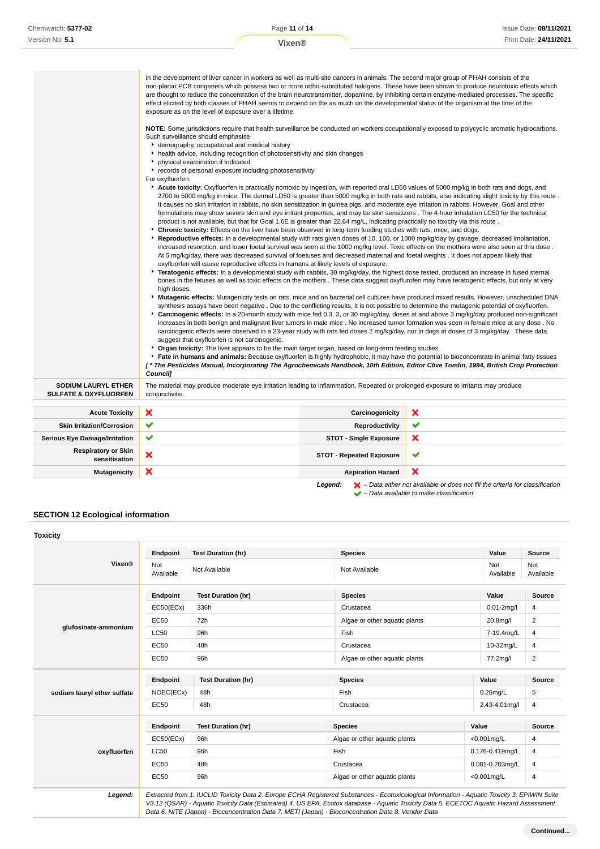a la

|                                                                | are thought to reduce the concentration of the brain neurotransmitter, dopamine, by inhibiting certain enzyme-mediated processes. The specific<br>effect elicited by both classes of PHAH seems to depend on the as much on the developmental status of the organism at the time of the<br>exposure as on the level of exposure over a lifetime.<br>Such surveillance should emphasise<br>demography, occupational and medical history<br>health advice, including recognition of photosensitivity and skin changes<br>• physical examination if indicated<br>records of personal exposure including photosensitivity<br>For oxyfluorfen:<br>Acute toxicity: Oxyfluorfen is practically nontoxic by ingestion, with reported oral LD50 values of 5000 mg/kg in both rats and dogs, and<br>It causes no skin irritation in rabbits, no skin sensitization in guinea pigs, and moderate eye irritation in rabbits. However, Goal and other<br>product is not available, but that for Goal 1.6E is greater than 22.64 mg/L, indicating practically no toxicity via this route.<br><b>• Chronic toxicity:</b> Effects on the liver have been observed in long-term feeding studies with rats, mice, and dogs.<br>▶ Reproductive effects: In a developmental study with rats given doses of 10, 100, or 1000 mg/kg/day by gavage, decreased implantation,<br>At 5 mg/kg/day, there was decreased survival of foetuses and decreased maternal and foetal weights. It does not appear likely that<br>oxyfluorfen will cause reproductive effects in humans at likely levels of exposure. | in the development of liver cancer in workers as well as multi-site cancers in animals. The second major group of PHAH consists of the | non-planar PCB congeners which possess two or more ortho-substituted halogens. These have been shown to produce neurotoxic effects which<br>NOTE: Some jurisdictions require that health surveillance be conducted on workers occupationally exposed to polycyclic aromatic hydrocarbons.<br>2700 to 5000 mg/kg in mice. The dermal LD50 is greater than 5000 mg/kg in both rats and rabbits, also indicating slight toxicity by this route.<br>formulations may show severe skin and eye irritant properties, and may be skin sensitizers. The 4-hour inhalation LC50 for the technical<br>increased resorption, and lower foetal survival was seen at the 1000 mg/kg level. Toxic effects on the mothers were also seen at this dose.                                                                                                                                                                                                                                                                                                                                                                                                                                                                                                                                                                   |
|----------------------------------------------------------------|-----------------------------------------------------------------------------------------------------------------------------------------------------------------------------------------------------------------------------------------------------------------------------------------------------------------------------------------------------------------------------------------------------------------------------------------------------------------------------------------------------------------------------------------------------------------------------------------------------------------------------------------------------------------------------------------------------------------------------------------------------------------------------------------------------------------------------------------------------------------------------------------------------------------------------------------------------------------------------------------------------------------------------------------------------------------------------------------------------------------------------------------------------------------------------------------------------------------------------------------------------------------------------------------------------------------------------------------------------------------------------------------------------------------------------------------------------------------------------------------------------------------------------------------------------------------------------------|----------------------------------------------------------------------------------------------------------------------------------------|-----------------------------------------------------------------------------------------------------------------------------------------------------------------------------------------------------------------------------------------------------------------------------------------------------------------------------------------------------------------------------------------------------------------------------------------------------------------------------------------------------------------------------------------------------------------------------------------------------------------------------------------------------------------------------------------------------------------------------------------------------------------------------------------------------------------------------------------------------------------------------------------------------------------------------------------------------------------------------------------------------------------------------------------------------------------------------------------------------------------------------------------------------------------------------------------------------------------------------------------------------------------------------------------------------------|
|                                                                | high doses.<br>suggest that oxyfluorfen is not carcinogenic.<br>* Organ toxicity: The liver appears to be the main target organ, based on long-term feeding studies.<br>Council1                                                                                                                                                                                                                                                                                                                                                                                                                                                                                                                                                                                                                                                                                                                                                                                                                                                                                                                                                                                                                                                                                                                                                                                                                                                                                                                                                                                                  |                                                                                                                                        | Fratogenic effects: In a developmental study with rabbits, 30 mg/kg/day, the highest dose tested, produced an increase in fused sternal<br>bones in the fetuses as well as toxic effects on the mothers. These data suggest oxyflurofen may have teratogenic effects, but only at very<br>Mutagenic effects: Mutagenicity tests on rats, mice and on bacterial cell cultures have produced mixed results. However, unscheduled DNA<br>synthesis assays have been negative. Due to the conflicting results, it is not possible to determine the mutagenic potential of oxyfluorfen.<br>► Carcinogenic effects: In a 20-month study with mice fed 0.3, 3, or 30 mg/kg/day, doses at and above 3 mg/kg/day produced non-significant<br>increases in both benign and malignant liver tumors in male mice. No increased tumor formation was seen in female mice at any dose. No<br>carcinogenic effects were observed in a 23-year study with rats fed doses 2 mg/kg/day, nor in dogs at doses of 3 mg/kg/day. These data<br>Fate in humans and animals: Because oxyfluorfen is highly hydrophobic, it may have the potential to bioconcentrate in animal fatty tissues<br>[*The Pesticides Manual, Incorporating The Agrochemicals Handbook, 10th Edition, Editor Clive Tomlin, 1994, British Crop Protection |
| <b>SODIUM LAURYL ETHER</b><br><b>SULFATE &amp; OXYFLUORFEN</b> | The material may produce moderate eye irritation leading to inflammation. Repeated or prolonged exposure to irritants may produce<br>conjunctivitis.                                                                                                                                                                                                                                                                                                                                                                                                                                                                                                                                                                                                                                                                                                                                                                                                                                                                                                                                                                                                                                                                                                                                                                                                                                                                                                                                                                                                                              |                                                                                                                                        |                                                                                                                                                                                                                                                                                                                                                                                                                                                                                                                                                                                                                                                                                                                                                                                                                                                                                                                                                                                                                                                                                                                                                                                                                                                                                                           |
| <b>Acute Toxicity</b>                                          | ×                                                                                                                                                                                                                                                                                                                                                                                                                                                                                                                                                                                                                                                                                                                                                                                                                                                                                                                                                                                                                                                                                                                                                                                                                                                                                                                                                                                                                                                                                                                                                                                 | Carcinogenicity                                                                                                                        | ×                                                                                                                                                                                                                                                                                                                                                                                                                                                                                                                                                                                                                                                                                                                                                                                                                                                                                                                                                                                                                                                                                                                                                                                                                                                                                                         |
| <b>Skin Irritation/Corrosion</b>                               | ✔                                                                                                                                                                                                                                                                                                                                                                                                                                                                                                                                                                                                                                                                                                                                                                                                                                                                                                                                                                                                                                                                                                                                                                                                                                                                                                                                                                                                                                                                                                                                                                                 | <b>Reproductivity</b>                                                                                                                  | ✔                                                                                                                                                                                                                                                                                                                                                                                                                                                                                                                                                                                                                                                                                                                                                                                                                                                                                                                                                                                                                                                                                                                                                                                                                                                                                                         |
| <b>Serious Eye Damage/Irritation</b>                           | ✔                                                                                                                                                                                                                                                                                                                                                                                                                                                                                                                                                                                                                                                                                                                                                                                                                                                                                                                                                                                                                                                                                                                                                                                                                                                                                                                                                                                                                                                                                                                                                                                 | <b>STOT - Single Exposure</b>                                                                                                          | ×                                                                                                                                                                                                                                                                                                                                                                                                                                                                                                                                                                                                                                                                                                                                                                                                                                                                                                                                                                                                                                                                                                                                                                                                                                                                                                         |
| <b>Respiratory or Skin</b><br>sensitisation                    | ×                                                                                                                                                                                                                                                                                                                                                                                                                                                                                                                                                                                                                                                                                                                                                                                                                                                                                                                                                                                                                                                                                                                                                                                                                                                                                                                                                                                                                                                                                                                                                                                 | <b>STOT - Repeated Exposure</b>                                                                                                        | ✔                                                                                                                                                                                                                                                                                                                                                                                                                                                                                                                                                                                                                                                                                                                                                                                                                                                                                                                                                                                                                                                                                                                                                                                                                                                                                                         |

– Data available to make classification

## **SECTION 12 Ecological information**

|                             | Endpoint         | <b>Test Duration (hr)</b> | <b>Species</b>                | Value            | <b>Source</b>    |
|-----------------------------|------------------|---------------------------|-------------------------------|------------------|------------------|
| Vixen®                      | Not<br>Available | Not Available             | Not Available                 | Not<br>Available | Not<br>Available |
| glufosinate-ammonium        | <b>Endpoint</b>  | <b>Test Duration (hr)</b> | <b>Species</b>                | Value            | Source           |
|                             | EC50(ECx)        | 336h                      | Crustacea                     | $0.01 - 2$ mg/l  | 4                |
|                             | <b>EC50</b>      | 72h                       | Algae or other aquatic plants | 20.8mg/l         | 2                |
|                             | <b>LC50</b>      | 96h                       | Fish                          | 7-19.4mg/L       | 4                |
|                             | <b>EC50</b>      | 48h                       | Crustacea                     | 10-32mg/L        | 4                |
|                             | EC50             | 96h                       | Algae or other aguatic plants | 77.2mg/l         | 2                |
|                             | Endpoint         | <b>Test Duration (hr)</b> | <b>Species</b>                | Value            | Source           |
| sodium lauryl ether sulfate | NOEC(ECx)        | 48h                       | Fish                          | $0.26$ mg/L      | 5                |
|                             | EC50             | 48h                       | Crustacea                     | 2.43-4.01mg/l    | 4                |
|                             | <b>Endpoint</b>  | <b>Test Duration (hr)</b> | <b>Species</b>                | Value            | <b>Source</b>    |
|                             | EC50(ECx)        | 96h                       | Algae or other aquatic plants | $< 0.001$ mg/L   | 4                |
| oxyfluorfen                 | <b>LC50</b>      | 96h                       | Fish                          | 0.176-0.419mg/L  | 4                |
|                             | <b>EC50</b>      | 48h                       | Crustacea                     | 0.081-0.203mg/L  | 4                |
|                             | EC50             | 96h                       | Algae or other aquatic plants | $< 0.001$ mg/L   | 4                |

Data 6. NITE (Japan) - Bioconcentration Data 7. METI (Japan) - Bioconcentration Data 8. Vendor Data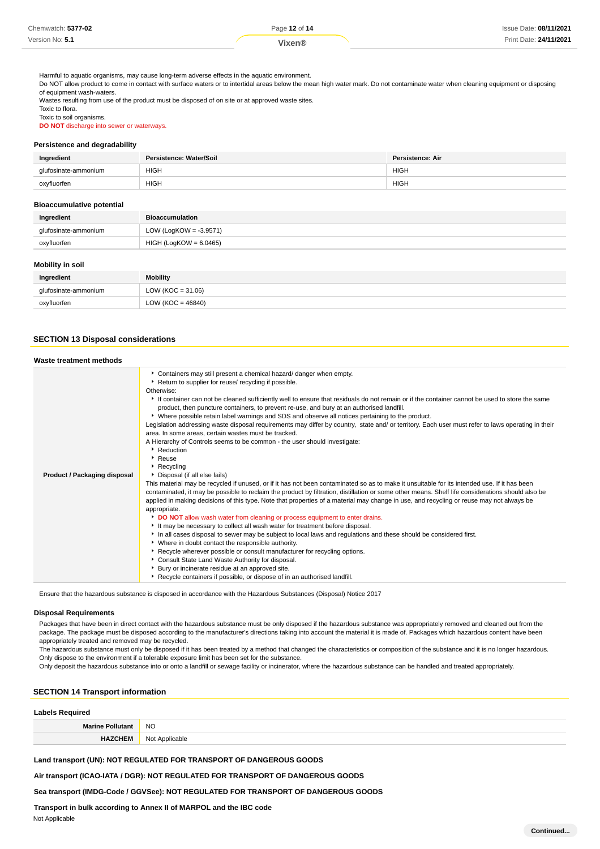| Chemwatch: 5377-02 | Page 12 of 14 | Issue Date: 08/11/2021 |
|--------------------|---------------|------------------------|
| Version No: 5.1    | Vixen®        | Print Date: 24/11/2021 |
|                    |               |                        |

Harmful to aquatic organisms, may cause long-term adverse effects in the aquatic environment.

Do NOT allow product to come in contact with surface waters or to intertidal areas below the mean high water mark. Do not contaminate water when cleaning equipment or disposing of equipment wash-waters.

Wastes resulting from use of the product must be disposed of on site or at approved waste sites. Toxic to flora. Toxic to soil organisms.

**DO NOT** discharge into sewer or waterways.

### **Persistence and degradability**

| Ingredient       | Persistence: Water/Soil | <b>Persistence: Air</b> |
|------------------|-------------------------|-------------------------|
| osinate-ammonium | <b>HIGH</b>             | HIGH                    |
| oxyfluorfen      | <b>HIGH</b>             | <b>HIGH</b>             |

## **Bioaccumulative potential**

| Ingredient           | <b>Bioaccumulation</b>    |
|----------------------|---------------------------|
| glufosinate-ammonium | LOW (LogKOW = $-3.9571$ ) |
| oxyfluorfen          | HIGH (LogKOW = 6.0465)    |

## **Mobility in soil**

| Ingredient           | <b>Mobility</b>       |
|----------------------|-----------------------|
| glufosinate-ammonium | LOW ( $KOC = 31.06$ ) |
| oxyfluorfen          | LOW ( $KOC = 46840$ ) |

## **SECTION 13 Disposal considerations**

## **Waste treatment methods**

| Product / Packaging disposal | Containers may still present a chemical hazard/ danger when empty.<br>Return to supplier for reuse/ recycling if possible.<br>Otherwise:<br>If container can not be cleaned sufficiently well to ensure that residuals do not remain or if the container cannot be used to store the same<br>product, then puncture containers, to prevent re-use, and bury at an authorised landfill.<br>▶ Where possible retain label warnings and SDS and observe all notices pertaining to the product.<br>Legislation addressing waste disposal requirements may differ by country, state and/ or territory. Each user must refer to laws operating in their<br>area. In some areas, certain wastes must be tracked.<br>A Hierarchy of Controls seems to be common - the user should investigate:<br>Reduction<br>$\cdot$ Reuse<br>$\triangleright$ Recycling<br>Disposal (if all else fails)<br>This material may be recycled if unused, or if it has not been contaminated so as to make it unsuitable for its intended use. If it has been<br>contaminated, it may be possible to reclaim the product by filtration, distillation or some other means. Shelf life considerations should also be<br>applied in making decisions of this type. Note that properties of a material may change in use, and recycling or reuse may not always be<br>appropriate.<br>DO NOT allow wash water from cleaning or process equipment to enter drains.<br>It may be necessary to collect all wash water for treatment before disposal.<br>In all cases disposal to sewer may be subject to local laws and regulations and these should be considered first.<br>• Where in doubt contact the responsible authority.<br>▶ Recycle wherever possible or consult manufacturer for recycling options.<br>Consult State Land Waste Authority for disposal. |
|------------------------------|----------------------------------------------------------------------------------------------------------------------------------------------------------------------------------------------------------------------------------------------------------------------------------------------------------------------------------------------------------------------------------------------------------------------------------------------------------------------------------------------------------------------------------------------------------------------------------------------------------------------------------------------------------------------------------------------------------------------------------------------------------------------------------------------------------------------------------------------------------------------------------------------------------------------------------------------------------------------------------------------------------------------------------------------------------------------------------------------------------------------------------------------------------------------------------------------------------------------------------------------------------------------------------------------------------------------------------------------------------------------------------------------------------------------------------------------------------------------------------------------------------------------------------------------------------------------------------------------------------------------------------------------------------------------------------------------------------------------------------------------------------------------------------------------------------------------------------|
|                              | Bury or incinerate residue at an approved site.<br>Recycle containers if possible, or dispose of in an authorised landfill.                                                                                                                                                                                                                                                                                                                                                                                                                                                                                                                                                                                                                                                                                                                                                                                                                                                                                                                                                                                                                                                                                                                                                                                                                                                                                                                                                                                                                                                                                                                                                                                                                                                                                                      |

Ensure that the hazardous substance is disposed in accordance with the Hazardous Substances (Disposal) Notice 2017

#### **Disposal Requirements**

Packages that have been in direct contact with the hazardous substance must be only disposed if the hazardous substance was appropriately removed and cleaned out from the package. The package must be disposed according to the manufacturer's directions taking into account the material it is made of. Packages which hazardous content have been appropriately treated and removed may be recycled.

The hazardous substance must only be disposed if it has been treated by a method that changed the characteristics or composition of the substance and it is no longer hazardous. Only dispose to the environment if a tolerable exposure limit has been set for the substance.

Only deposit the hazardous substance into or onto a landfill or sewage facility or incinerator, where the hazardous substance can be handled and treated appropriately.

## **SECTION 14 Transport information**

## **Labels Required**

| M. | <b>NO</b> |
|----|-----------|
|    | ∽ا،       |

## **Land transport (UN): NOT REGULATED FOR TRANSPORT OF DANGEROUS GOODS**

**Air transport (ICAO-IATA / DGR): NOT REGULATED FOR TRANSPORT OF DANGEROUS GOODS**

## **Sea transport (IMDG-Code / GGVSee): NOT REGULATED FOR TRANSPORT OF DANGEROUS GOODS**

**Transport in bulk according to Annex II of MARPOL and the IBC code**

### Not Applicable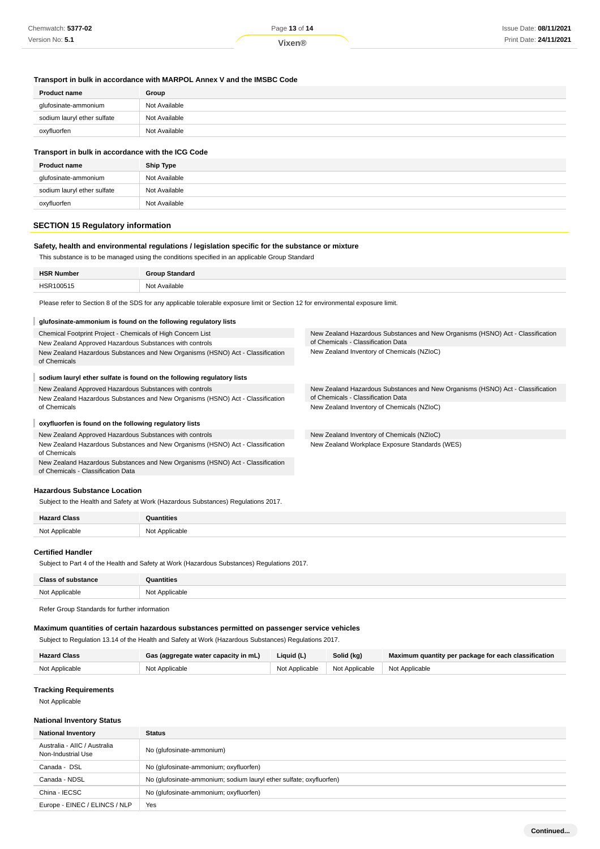## **Transport in bulk in accordance with MARPOL Annex V and the IMSBC Code**

| <b>Product name</b>         | Group         |
|-----------------------------|---------------|
| glufosinate-ammonium        | Not Available |
| sodium lauryl ether sulfate | Not Available |
| oxyfluorfen                 | Not Available |
|                             |               |

## **Transport in bulk in accordance with the ICG Code**

| <b>Product name</b>         | <b>Ship Type</b> |
|-----------------------------|------------------|
| glufosinate-ammonium        | Not Available    |
| sodium lauryl ether sulfate | Not Available    |
| oxyfluorfen                 | Not Available    |

## **SECTION 15 Regulatory information**

## **Safety, health and environmental regulations / legislation specific for the substance or mixture**

This substance is to be managed using the conditions specified in an applicable Group Standard

| UCD<br>Number<br>זכר | T<br>andaro           |
|----------------------|-----------------------|
| .                    | Not<br>Available<br>. |

Please refer to Section 8 of the SDS for any applicable tolerable exposure limit or Section 12 for environmental exposure limit.

| glufosinate-ammonium is found on the following regulatory lists                                |                                                                                |  |
|------------------------------------------------------------------------------------------------|--------------------------------------------------------------------------------|--|
| Chemical Footprint Project - Chemicals of High Concern List                                    | New Zealand Hazardous Substances and New Organisms (HSNO) Act - Classification |  |
| New Zealand Approved Hazardous Substances with controls                                        | of Chemicals - Classification Data                                             |  |
| New Zealand Hazardous Substances and New Organisms (HSNO) Act - Classification<br>of Chemicals | New Zealand Inventory of Chemicals (NZIoC)                                     |  |
| sodium lauryl ether sulfate is found on the following regulatory lists                         |                                                                                |  |
| New Zealand Approved Hazardous Substances with controls                                        | New Zealand Hazardous Substances and New Organisms (HSNO) Act - Classification |  |
| New Zealand Hazardous Substances and New Organisms (HSNO) Act - Classification                 | of Chemicals - Classification Data                                             |  |
| of Chemicals                                                                                   | New Zealand Inventory of Chemicals (NZIoC)                                     |  |
| oxyfluorfen is found on the following regulatory lists                                         |                                                                                |  |
| New Zealand Approved Hazardous Substances with controls                                        | New Zealand Inventory of Chemicals (NZIoC)                                     |  |
| New Zealand Hazardous Substances and New Organisms (HSNO) Act - Classification<br>of Chemicals | New Zealand Workplace Exposure Standards (WES)                                 |  |

New Zealand Hazardous Substances and New Organisms (HSNO) Act - Classification of Chemicals - Classification Data

## **Hazardous Substance Location**

Subject to the Health and Safety at Work (Hazardous Substances) Regulations 2017.

| 10 |  |
|----|--|

## **Certified Handler**

×.

Subject to Part 4 of the Health and Safety at Work (Hazardous Substances) Regulations 2017.

| $P$ los             | าtities                                |
|---------------------|----------------------------------------|
| $N \cap$<br>licoble | NM<br>Annlicable<br>.<br>$\sim$ $\sim$ |

Refer Group Standards for further information

### **Maximum quantities of certain hazardous substances permitted on passenger service vehicles**

Subject to Regulation 13.14 of the Health and Safety at Work (Hazardous Substances) Regulations 2017.

| <b>Hazard Class</b> | Gas (aggregate water capacity in mL) | Liquid (L) | Solid (kg)                                       | Maximum quantity per package for each classification |
|---------------------|--------------------------------------|------------|--------------------------------------------------|------------------------------------------------------|
| Not Applicable      | Not Applicable                       |            | Not Applicable   Not Applicable   Not Applicable |                                                      |

### **Tracking Requirements**

Not Applicable

## **National Inventory Status**

| <b>National Inventory</b>                          | <b>Status</b>                                                       |  |
|----------------------------------------------------|---------------------------------------------------------------------|--|
| Australia - AIIC / Australia<br>Non-Industrial Use | No (glufosinate-ammonium)                                           |  |
| Canada - DSL                                       | No (glufosinate-ammonium; oxyfluorfen)                              |  |
| Canada - NDSL                                      | No (glufosinate-ammonium; sodium lauryl ether sulfate; oxyfluorfen) |  |
| China - IECSC                                      | No (glufosinate-ammonium; oxyfluorfen)                              |  |
| Europe - EINEC / ELINCS / NLP                      | Yes                                                                 |  |